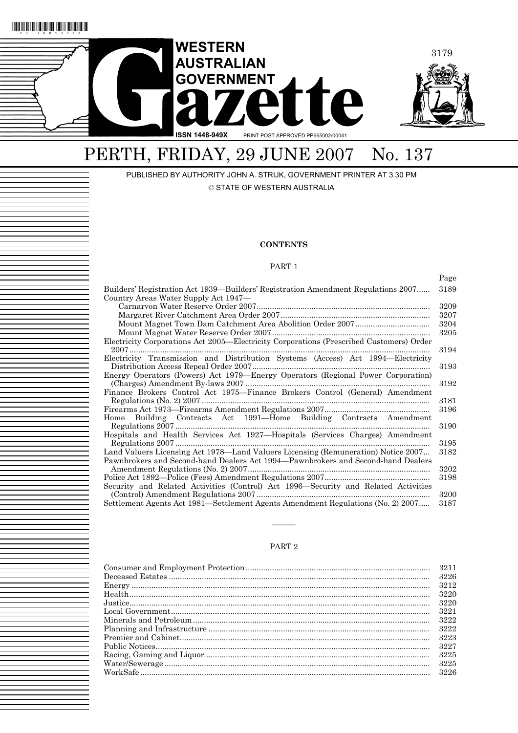

## PERTH, FRIDAY, 29 JUNE 2007 No. 137

PUBLISHED BY AUTHORITY JOHN A. STRIJK, GOVERNMENT PRINTER AT 3.30 PM © STATE OF WESTERN AUSTRALIA

### **CONTENTS**

### PART 1

Page

| Builders' Registration Act 1939—Builders' Registration Amendment Regulations 2007       | 3189 |
|-----------------------------------------------------------------------------------------|------|
| Country Areas Water Supply Act 1947—                                                    | 3209 |
|                                                                                         | 3207 |
|                                                                                         |      |
|                                                                                         | 3204 |
|                                                                                         | 3205 |
| Electricity Corporations Act 2005—Electricity Corporations (Prescribed Customers) Order |      |
|                                                                                         | 3194 |
| Electricity Transmission and Distribution Systems (Access) Act 1994—Electricity         |      |
|                                                                                         | 3193 |
| Energy Operators (Powers) Act 1979-Energy Operators (Regional Power Corporation)        |      |
|                                                                                         | 3192 |
| Finance Brokers Control Act 1975-Finance Brokers Control (General) Amendment            |      |
|                                                                                         | 3181 |
|                                                                                         | 3196 |
| Home Building Contracts Act 1991—Home Building Contracts Amendment                      |      |
|                                                                                         | 3190 |
| Hospitals and Health Services Act 1927-Hospitals (Services Charges) Amendment           |      |
| Regulations 2007                                                                        | 3195 |
| Land Valuers Licensing Act 1978—Land Valuers Licensing (Remuneration) Notice 2007       | 3182 |
| Pawnbrokers and Second-hand Dealers Act 1994—Pawnbrokers and Second-hand Dealers        |      |
|                                                                                         | 3202 |
|                                                                                         | 3198 |
| Security and Related Activities (Control) Act 1996—Security and Related Activities      |      |
|                                                                                         | 3200 |
| Settlement Agents Act 1981—Settlement Agents Amendment Regulations (No. 2) 2007         | 3187 |

#### PART 2

———

| 3226         |
|--------------|
| 3212         |
| 3220         |
| 3220         |
| 3221         |
| 3222         |
| 3222<br>3223 |
| 3227         |
| 3225         |
| -3225        |
| -3226        |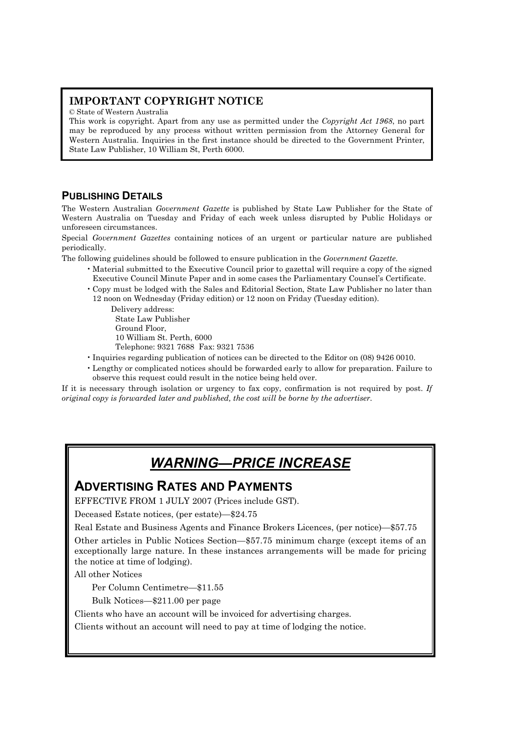## **IMPORTANT COPYRIGHT NOTICE**

© State of Western Australia

This work is copyright. Apart from any use as permitted under the *Copyright Act 1968*, no part may be reproduced by any process without written permission from the Attorney General for Western Australia. Inquiries in the first instance should be directed to the Government Printer, State Law Publisher, 10 William St, Perth 6000.

## **PUBLISHING DETAILS**

The Western Australian *Government Gazette* is published by State Law Publisher for the State of Western Australia on Tuesday and Friday of each week unless disrupted by Public Holidays or unforeseen circumstances.

Special *Government Gazettes* containing notices of an urgent or particular nature are published periodically.

The following guidelines should be followed to ensure publication in the *Government Gazette*.

- Material submitted to the Executive Council prior to gazettal will require a copy of the signed Executive Council Minute Paper and in some cases the Parliamentary Counsel's Certificate.
- Copy must be lodged with the Sales and Editorial Section, State Law Publisher no later than 12 noon on Wednesday (Friday edition) or 12 noon on Friday (Tuesday edition).

Delivery address: State Law Publisher Ground Floor, 10 William St. Perth, 6000 Telephone: 9321 7688 Fax: 9321 7536

- Inquiries regarding publication of notices can be directed to the Editor on (08) 9426 0010.
- Lengthy or complicated notices should be forwarded early to allow for preparation. Failure to observe this request could result in the notice being held over.

If it is necessary through isolation or urgency to fax copy, confirmation is not required by post. *If original copy is forwarded later and published, the cost will be borne by the advertiser.* 

## *WARNING—PRICE INCREASE*

## **ADVERTISING RATES AND PAYMENTS**

EFFECTIVE FROM 1 JULY 2007 (Prices include GST).

Deceased Estate notices, (per estate)—\$24.75

Real Estate and Business Agents and Finance Brokers Licences, (per notice)—\$57.75

Other articles in Public Notices Section—\$57.75 minimum charge (except items of an exceptionally large nature. In these instances arrangements will be made for pricing the notice at time of lodging).

All other Notices

Per Column Centimetre—\$11.55

Bulk Notices—\$211.00 per page

Clients who have an account will be invoiced for advertising charges.

Clients without an account will need to pay at time of lodging the notice.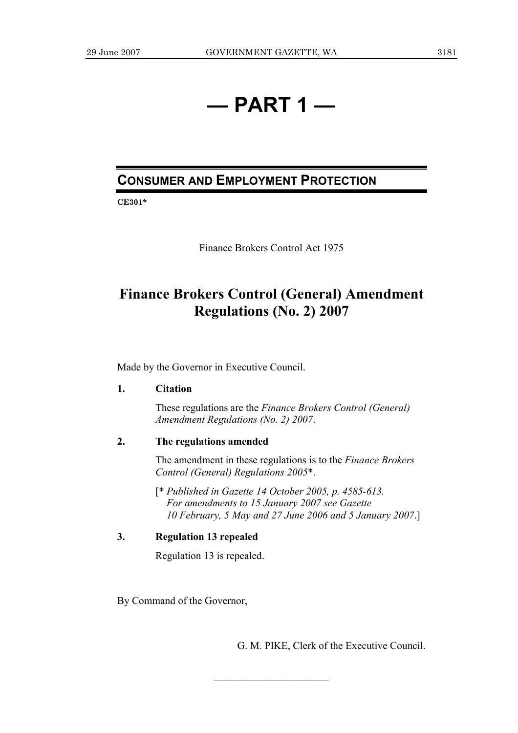## **— PART 1 —**

## **CONSUMER AND EMPLOYMENT PROTECTION**

**CE301\*** 

Finance Brokers Control Act 1975

## **Finance Brokers Control (General) Amendment Regulations (No. 2) 2007**

Made by the Governor in Executive Council.

## **1. Citation**

 These regulations are the *Finance Brokers Control (General) Amendment Regulations (No. 2) 2007*.

## **2. The regulations amended**

 The amendment in these regulations is to the *Finance Brokers Control (General) Regulations 2005*\*.

 [\* *Published in Gazette 14 October 2005, p. 4585-613. For amendments to 15 January 2007 see Gazette 10 February, 5 May and 27 June 2006 and 5 January 2007*.]

———————————

## **3. Regulation 13 repealed**

Regulation 13 is repealed.

By Command of the Governor,

G. M. PIKE, Clerk of the Executive Council.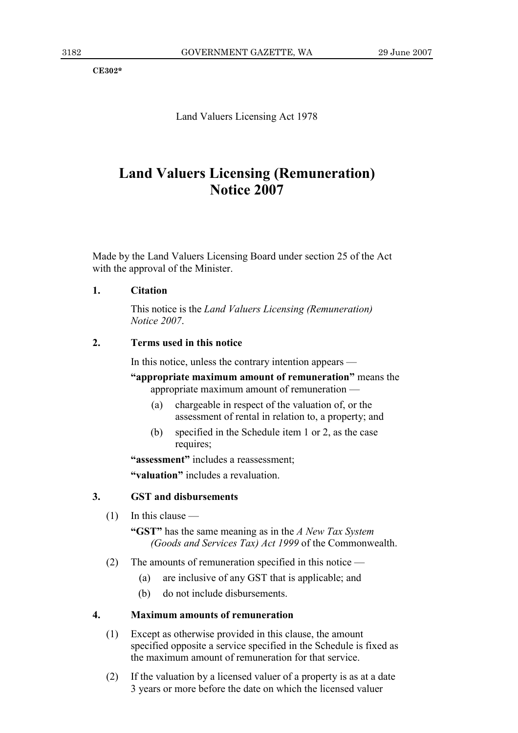**CE302\*** 

Land Valuers Licensing Act 1978

## **Land Valuers Licensing (Remuneration) Notice 2007**

Made by the Land Valuers Licensing Board under section 25 of the Act with the approval of the Minister.

## **1. Citation**

 This notice is the *Land Valuers Licensing (Remuneration) Notice 2007*.

## **2. Terms used in this notice**

In this notice, unless the contrary intention appears —

**"appropriate maximum amount of remuneration"** means the appropriate maximum amount of remuneration —

- (a) chargeable in respect of the valuation of, or the assessment of rental in relation to, a property; and
- (b) specified in the Schedule item 1 or 2, as the case requires;

 **"assessment"** includes a reassessment;

 **"valuation"** includes a revaluation.

### **3. GST and disbursements**

(1) In this clause —

 **"GST"** has the same meaning as in the *A New Tax System (Goods and Services Tax) Act 1999* of the Commonwealth.

- (2) The amounts of remuneration specified in this notice
	- (a) are inclusive of any GST that is applicable; and
	- (b) do not include disbursements.

## **4. Maximum amounts of remuneration**

- (1) Except as otherwise provided in this clause, the amount specified opposite a service specified in the Schedule is fixed as the maximum amount of remuneration for that service.
- (2) If the valuation by a licensed valuer of a property is as at a date 3 years or more before the date on which the licensed valuer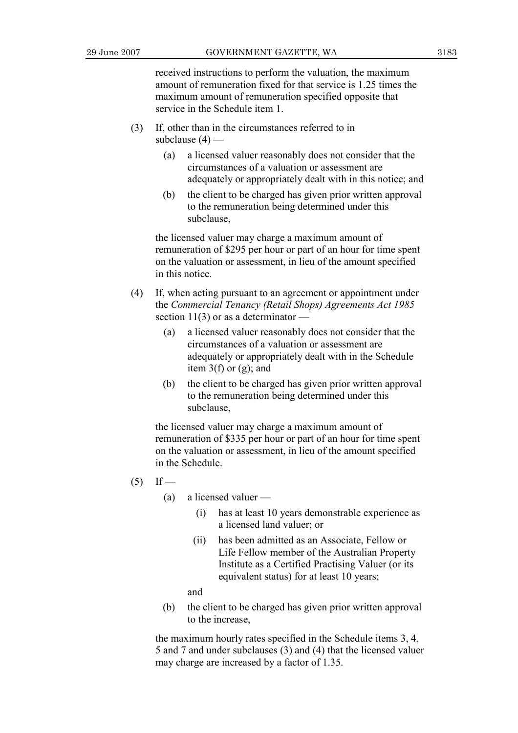received instructions to perform the valuation, the maximum amount of remuneration fixed for that service is 1.25 times the maximum amount of remuneration specified opposite that service in the Schedule item 1.

- (3) If, other than in the circumstances referred to in subclause  $(4)$  —
	- (a) a licensed valuer reasonably does not consider that the circumstances of a valuation or assessment are adequately or appropriately dealt with in this notice; and
	- (b) the client to be charged has given prior written approval to the remuneration being determined under this subclause,

 the licensed valuer may charge a maximum amount of remuneration of \$295 per hour or part of an hour for time spent on the valuation or assessment, in lieu of the amount specified in this notice.

- (4) If, when acting pursuant to an agreement or appointment under the *Commercial Tenancy (Retail Shops) Agreements Act 1985*  section  $11(3)$  or as a determinator —
	- (a) a licensed valuer reasonably does not consider that the circumstances of a valuation or assessment are adequately or appropriately dealt with in the Schedule item  $3(f)$  or  $(g)$ ; and
	- (b) the client to be charged has given prior written approval to the remuneration being determined under this subclause,

 the licensed valuer may charge a maximum amount of remuneration of \$335 per hour or part of an hour for time spent on the valuation or assessment, in lieu of the amount specified in the Schedule.

- $(5)$  If
	- (a) a licensed valuer
		- (i) has at least 10 years demonstrable experience as a licensed land valuer; or
		- (ii) has been admitted as an Associate, Fellow or Life Fellow member of the Australian Property Institute as a Certified Practising Valuer (or its equivalent status) for at least 10 years;

and

 (b) the client to be charged has given prior written approval to the increase,

 the maximum hourly rates specified in the Schedule items 3, 4, 5 and 7 and under subclauses (3) and (4) that the licensed valuer may charge are increased by a factor of 1.35.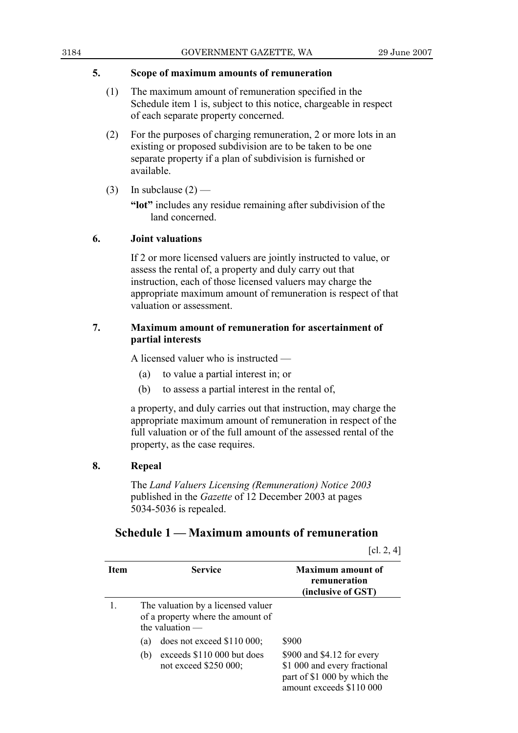### **5. Scope of maximum amounts of remuneration**

- (1) The maximum amount of remuneration specified in the Schedule item 1 is, subject to this notice, chargeable in respect of each separate property concerned.
- (2) For the purposes of charging remuneration, 2 or more lots in an existing or proposed subdivision are to be taken to be one separate property if a plan of subdivision is furnished or available.
- (3) In subclause  $(2)$  —

 **"lot"** includes any residue remaining after subdivision of the land concerned.

## **6. Joint valuations**

 If 2 or more licensed valuers are jointly instructed to value, or assess the rental of, a property and duly carry out that instruction, each of those licensed valuers may charge the appropriate maximum amount of remuneration is respect of that valuation or assessment.

## **7. Maximum amount of remuneration for ascertainment of partial interests**

A licensed valuer who is instructed —

- (a) to value a partial interest in; or
- (b) to assess a partial interest in the rental of,

 a property, and duly carries out that instruction, may charge the appropriate maximum amount of remuneration in respect of the full valuation or of the full amount of the assessed rental of the property, as the case requires.

## **8. Repeal**

 The *Land Valuers Licensing (Remuneration) Notice 2003* published in the *Gazette* of 12 December 2003 at pages 5034-5036 is repealed.

## **Schedule 1 — Maximum amounts of remuneration**

[cl. 2, 4]

| <b>Item</b> | <b>Service</b>                                                                                                                                                                                    | <b>Maximum</b> amount of<br>remuneration<br>(inclusive of GST)                                                                  |
|-------------|---------------------------------------------------------------------------------------------------------------------------------------------------------------------------------------------------|---------------------------------------------------------------------------------------------------------------------------------|
|             | The valuation by a licensed valuer<br>of a property where the amount of<br>the valuation $-$<br>does not exceed $$110,000$ ;<br>(a)<br>exceeds \$110 000 but does<br>(b)<br>not exceed \$250 000; | \$900<br>\$900 and \$4.12 for every<br>\$1 000 and every fractional<br>part of \$1 000 by which the<br>amount exceeds \$110 000 |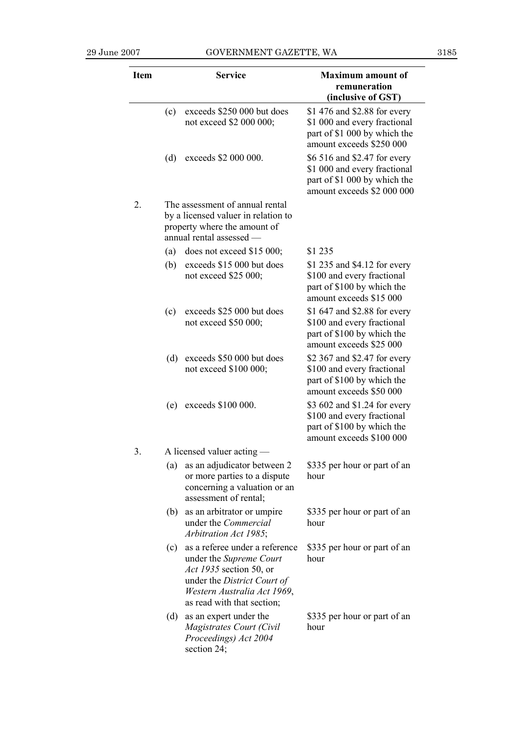| <b>Item</b> |     | <b>Service</b>                                                                                                                                                                          | <b>Maximum</b> amount of<br>remuneration<br>(inclusive of GST)                                                             |
|-------------|-----|-----------------------------------------------------------------------------------------------------------------------------------------------------------------------------------------|----------------------------------------------------------------------------------------------------------------------------|
|             | (c) | exceeds \$250 000 but does<br>not exceed \$2 000 000;                                                                                                                                   | \$1 476 and \$2.88 for every<br>\$1 000 and every fractional<br>part of \$1 000 by which the<br>amount exceeds \$250 000   |
|             | (d) | exceeds \$2 000 000.                                                                                                                                                                    | \$6 516 and \$2.47 for every<br>\$1 000 and every fractional<br>part of \$1 000 by which the<br>amount exceeds \$2 000 000 |
| 2.          |     | The assessment of annual rental<br>by a licensed valuer in relation to<br>property where the amount of<br>annual rental assessed -                                                      |                                                                                                                            |
|             | (a) | does not exceed \$15 000;                                                                                                                                                               | \$1 235                                                                                                                    |
|             | (b) | exceeds \$15 000 but does<br>not exceed \$25 000;                                                                                                                                       | \$1 235 and \$4.12 for every<br>\$100 and every fractional<br>part of \$100 by which the<br>amount exceeds \$15 000        |
|             | (c) | exceeds \$25,000 but does<br>not exceed \$50 000;                                                                                                                                       | \$1 647 and \$2.88 for every<br>\$100 and every fractional<br>part of \$100 by which the<br>amount exceeds \$25 000        |
|             | (d) | exceeds \$50 000 but does<br>not exceed \$100 000;                                                                                                                                      | \$2 367 and \$2.47 for every<br>\$100 and every fractional<br>part of \$100 by which the<br>amount exceeds \$50 000        |
|             | (e) | exceeds \$100 000.                                                                                                                                                                      | \$3 602 and \$1.24 for every<br>\$100 and every fractional<br>part of \$100 by which the<br>amount exceeds \$100 000       |
| 3           |     | A licensed valuer acting -                                                                                                                                                              |                                                                                                                            |
|             | (a) | as an adjudicator between 2<br>or more parties to a dispute<br>concerning a valuation or an<br>assessment of rental;                                                                    | \$335 per hour or part of an<br>hour                                                                                       |
|             | (b) | as an arbitrator or umpire<br>under the Commercial<br>Arbitration Act 1985;                                                                                                             | \$335 per hour or part of an<br>hour                                                                                       |
|             | (c) | as a referee under a reference<br>under the Supreme Court<br><i>Act 1935</i> section 50, or<br>under the District Court of<br>Western Australia Act 1969,<br>as read with that section; | \$335 per hour or part of an<br>hour                                                                                       |
|             | (d) | as an expert under the<br>Magistrates Court (Civil<br>Proceedings) Act 2004<br>section 24;                                                                                              | \$335 per hour or part of an<br>hour                                                                                       |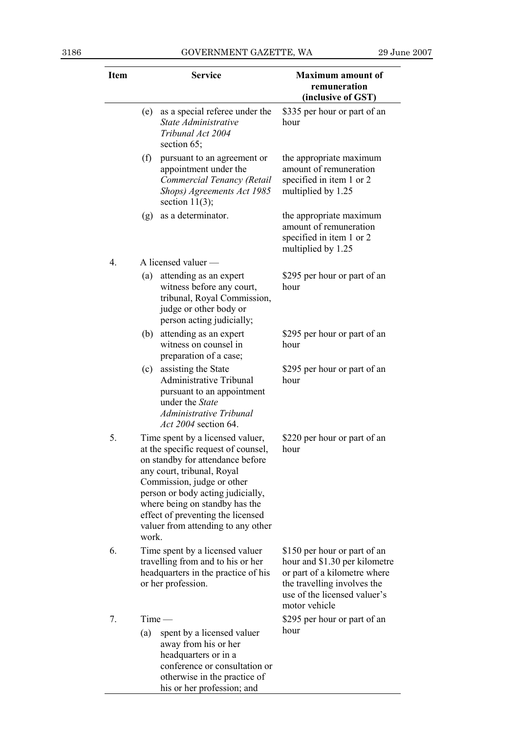| <b>Item</b>      |       | <b>Service</b>                                                                                                                                                                                                                                                                                                            | <b>Maximum</b> amount of<br>remuneration<br>(inclusive of GST)                                                                                                                |
|------------------|-------|---------------------------------------------------------------------------------------------------------------------------------------------------------------------------------------------------------------------------------------------------------------------------------------------------------------------------|-------------------------------------------------------------------------------------------------------------------------------------------------------------------------------|
|                  | (e)   | as a special referee under the<br>State Administrative<br>Tribunal Act 2004<br>section $65$ ;                                                                                                                                                                                                                             | \$335 per hour or part of an<br>hour                                                                                                                                          |
|                  | (f)   | pursuant to an agreement or<br>appointment under the<br>Commercial Tenancy (Retail<br>Shops) Agreements Act 1985<br>section $11(3)$ ;                                                                                                                                                                                     | the appropriate maximum<br>amount of remuneration<br>specified in item 1 or 2<br>multiplied by 1.25                                                                           |
|                  | (g)   | as a determinator.                                                                                                                                                                                                                                                                                                        | the appropriate maximum<br>amount of remuneration<br>specified in item 1 or 2<br>multiplied by 1.25                                                                           |
| $\overline{4}$ . |       | A licensed valuer —                                                                                                                                                                                                                                                                                                       |                                                                                                                                                                               |
|                  | (a)   | attending as an expert<br>witness before any court,<br>tribunal, Royal Commission,<br>judge or other body or<br>person acting judicially;                                                                                                                                                                                 | \$295 per hour or part of an<br>hour                                                                                                                                          |
|                  | (b)   | attending as an expert<br>witness on counsel in<br>preparation of a case;                                                                                                                                                                                                                                                 | \$295 per hour or part of an<br>hour                                                                                                                                          |
|                  | (c)   | assisting the State<br><b>Administrative Tribunal</b><br>pursuant to an appointment<br>under the State<br>Administrative Tribunal<br>Act 2004 section 64.                                                                                                                                                                 | \$295 per hour or part of an<br>hour                                                                                                                                          |
| 5.               | work. | Time spent by a licensed valuer,<br>at the specific request of counsel,<br>on standby for attendance before<br>any court, tribunal, Royal<br>Commission, judge or other<br>person or body acting judicially,<br>where being on standby has the<br>effect of preventing the licensed<br>valuer from attending to any other | \$220 per hour or part of an<br>hour                                                                                                                                          |
| 6.               |       | Time spent by a licensed valuer<br>travelling from and to his or her<br>headquarters in the practice of his<br>or her profession.                                                                                                                                                                                         | \$150 per hour or part of an<br>hour and \$1.30 per kilometre<br>or part of a kilometre where<br>the travelling involves the<br>use of the licensed valuer's<br>motor vehicle |
| 7.               |       | $Time -$                                                                                                                                                                                                                                                                                                                  | \$295 per hour or part of an                                                                                                                                                  |
|                  | (a)   | spent by a licensed valuer<br>away from his or her<br>headquarters or in a<br>conference or consultation or<br>otherwise in the practice of<br>his or her profession; and                                                                                                                                                 | hour                                                                                                                                                                          |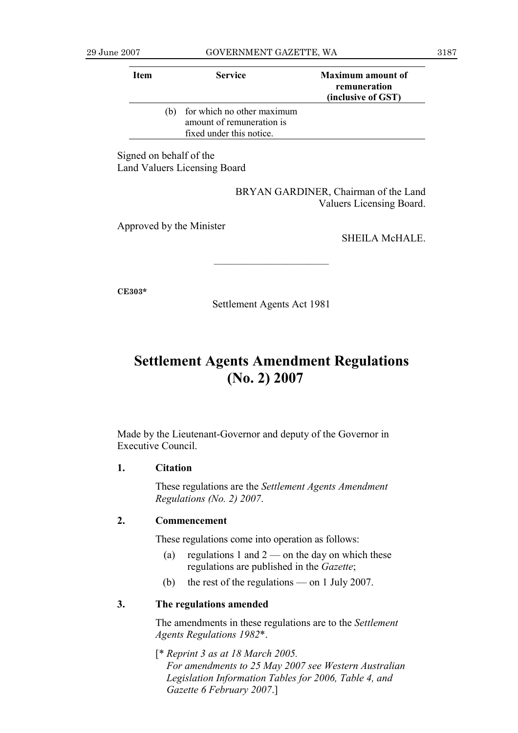| Item |     | <b>Service</b>                                                                      | <b>Maximum amount of</b><br>remuneration<br>(inclusive of GST) |
|------|-----|-------------------------------------------------------------------------------------|----------------------------------------------------------------|
|      | (b) | for which no other maximum<br>amount of remuneration is<br>fixed under this notice. |                                                                |

Signed on behalf of the Land Valuers Licensing Board

> BRYAN GARDINER, Chairman of the Land Valuers Licensing Board.

Approved by the Minister

SHEILA McHALE.

———————————

**CE303\*** 

Settlement Agents Act 1981

## **Settlement Agents Amendment Regulations (No. 2) 2007**

Made by the Lieutenant-Governor and deputy of the Governor in Executive Council.

### **1. Citation**

 These regulations are the *Settlement Agents Amendment Regulations (No. 2) 2007*.

### **2. Commencement**

These regulations come into operation as follows:

- (a) regulations 1 and  $2$  on the day on which these regulations are published in the *Gazette*;
- (b) the rest of the regulations on 1 July 2007.

## **3. The regulations amended**

 The amendments in these regulations are to the *Settlement Agents Regulations 1982*\*.

 [\* *Reprint 3 as at 18 March 2005. For amendments to 25 May 2007 see Western Australian Legislation Information Tables for 2006, Table 4, and Gazette 6 February 2007*.]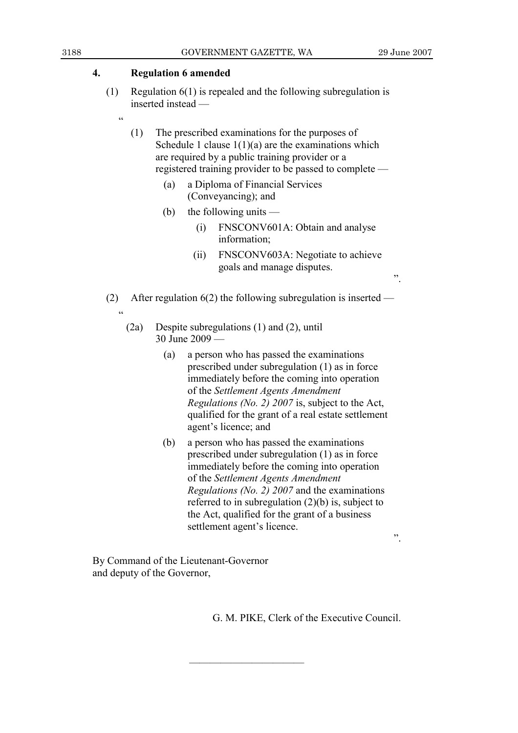## **4. Regulation 6 amended**

 $\alpha$ 

.<br>44

 (1) Regulation 6(1) is repealed and the following subregulation is inserted instead —

 (1) The prescribed examinations for the purposes of Schedule 1 clause  $1(1)(a)$  are the examinations which are required by a public training provider or a registered training provider to be passed to complete —

- (a) a Diploma of Financial Services (Conveyancing); and
- (b) the following units
	- (i) FNSCONV601A: Obtain and analyse information;
	- (ii) FNSCONV603A: Negotiate to achieve goals and manage disputes.

(2) After regulation 6(2) the following subregulation is inserted —

- (2a) Despite subregulations (1) and (2), until 30 June 2009 —
	- (a) a person who has passed the examinations prescribed under subregulation (1) as in force immediately before the coming into operation of the *Settlement Agents Amendment Regulations (No. 2) 2007* is, subject to the Act, qualified for the grant of a real estate settlement agent's licence; and
	- (b) a person who has passed the examinations prescribed under subregulation (1) as in force immediately before the coming into operation of the *Settlement Agents Amendment Regulations (No. 2) 2007* and the examinations referred to in subregulation (2)(b) is, subject to the Act, qualified for the grant of a business settlement agent's licence.

———————————

".

".

By Command of the Lieutenant-Governor and deputy of the Governor,

G. M. PIKE, Clerk of the Executive Council.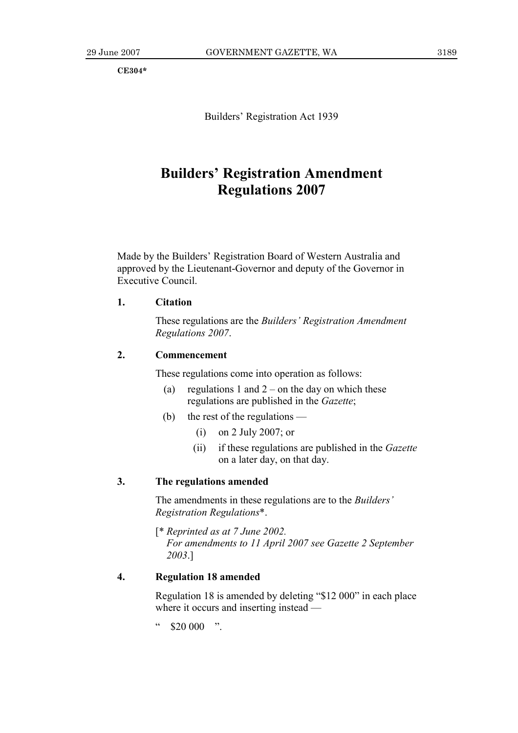**CE304\*** 

Builders' Registration Act 1939

## **Builders' Registration Amendment Regulations 2007**

Made by the Builders' Registration Board of Western Australia and approved by the Lieutenant-Governor and deputy of the Governor in Executive Council.

## **1. Citation**

 These regulations are the *Builders' Registration Amendment Regulations 2007*.

## **2. Commencement**

These regulations come into operation as follows:

- (a) regulations 1 and  $2$  on the day on which these regulations are published in the *Gazette*;
- (b) the rest of the regulations
	- (i) on 2 July 2007; or
	- (ii) if these regulations are published in the *Gazette*  on a later day, on that day.

## **3. The regulations amended**

 The amendments in these regulations are to the *Builders' Registration Regulations*\*.

 [\* *Reprinted as at 7 June 2002. For amendments to 11 April 2007 see Gazette 2 September 2003*.]

### **4. Regulation 18 amended**

 Regulation 18 is amended by deleting "\$12 000" in each place where it occurs and inserting instead —

 $\degree$  \$20 000 ".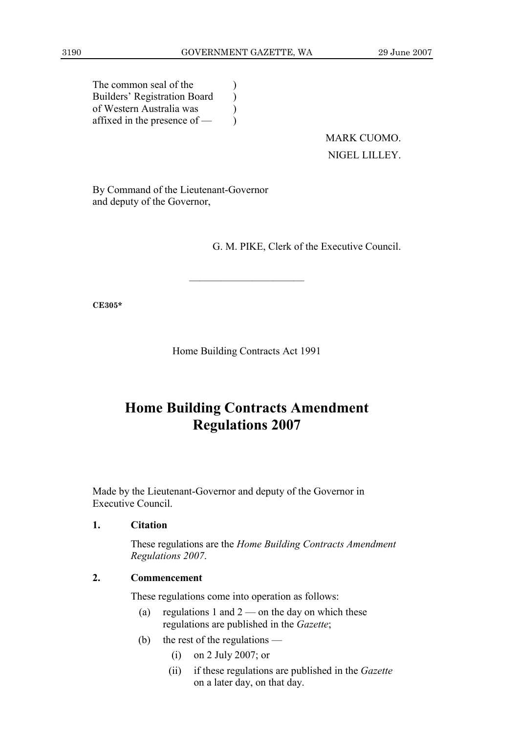) ) ) )

The common seal of the Builders' Registration Board of Western Australia was affixed in the presence of —

> MARK CUOMO. NIGEL LILLEY.

By Command of the Lieutenant-Governor and deputy of the Governor,

G. M. PIKE, Clerk of the Executive Council.

**CE305\*** 

Home Building Contracts Act 1991

———————————

## **Home Building Contracts Amendment Regulations 2007**

Made by the Lieutenant-Governor and deputy of the Governor in Executive Council.

### **1. Citation**

 These regulations are the *Home Building Contracts Amendment Regulations 2007*.

## **2. Commencement**

These regulations come into operation as follows:

- (a) regulations 1 and  $2$  on the day on which these regulations are published in the *Gazette*;
- (b) the rest of the regulations
	- (i) on 2 July 2007; or
	- (ii) if these regulations are published in the *Gazette*  on a later day, on that day.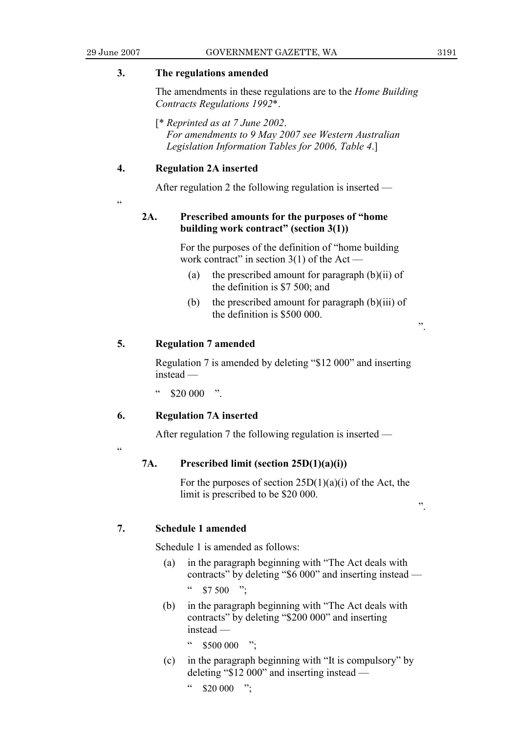## **3. The regulations amended**

 The amendments in these regulations are to the *Home Building Contracts Regulations 1992*\*.

 [\* *Reprinted as at 7 June 2002*.  *For amendments to 9 May 2007 see Western Australian Legislation Information Tables for 2006, Table 4*.]

## **4. Regulation 2A inserted**

After regulation 2 the following regulation is inserted —

.<br>"

## **2A. Prescribed amounts for the purposes of "home building work contract" (section 3(1))**

 For the purposes of the definition of "home building work contract" in section  $3(1)$  of the Act —

- (a) the prescribed amount for paragraph (b)(ii) of the definition is \$7 500; and
- (b) the prescribed amount for paragraph  $(b)(iii)$  of the definition is \$500 000.

## **5. Regulation 7 amended**

 Regulation 7 is amended by deleting "\$12 000" and inserting instead —

 $\frac{1}{2}$  \$20 000  $\frac{1}{2}$ 

## **6. Regulation 7A inserted**

After regulation 7 the following regulation is inserted —

 $\alpha$ 

## **7A. Prescribed limit (section 25D(1)(a)(i))**

For the purposes of section  $25D(1)(a)(i)$  of the Act, the limit is prescribed to be \$20 000.

".

".

## **7. Schedule 1 amended**

Schedule 1 is amended as follows:

- (a) in the paragraph beginning with "The Act deals with contracts" by deleting "\$6 000" and inserting instead —  $\frac{1}{2}$  \$7 500 ".
- (b) in the paragraph beginning with "The Act deals with contracts" by deleting "\$200 000" and inserting instead —
	- $$500\,000$  ":
- (c) in the paragraph beginning with "It is compulsory" by deleting "\$12 000" and inserting instead —

 $\degree$  \$20 000 ";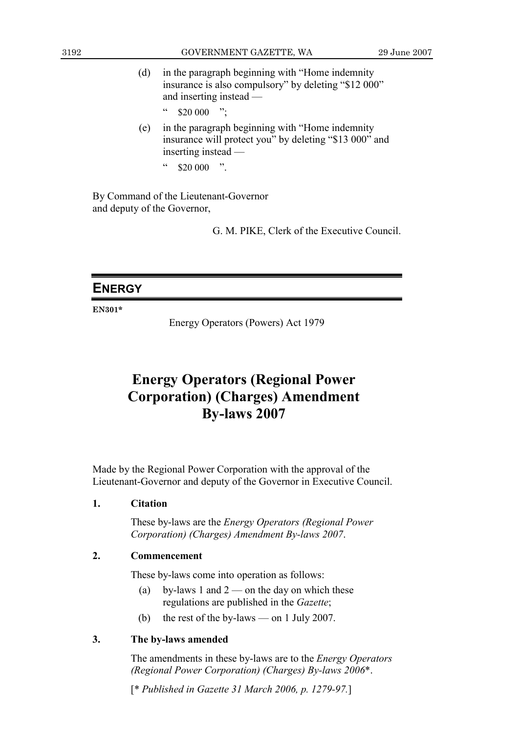- (d) in the paragraph beginning with "Home indemnity insurance is also compulsory" by deleting "\$12 000" and inserting instead —
	- $"$  \$20 000 ";
- (e) in the paragraph beginning with "Home indemnity insurance will protect you" by deleting "\$13 000" and inserting instead —
	- $"$  \$20 000 ".

By Command of the Lieutenant-Governor and deputy of the Governor,

G. M. PIKE, Clerk of the Executive Council.

## **ENERGY**

**EN301\*** 

Energy Operators (Powers) Act 1979

## **Energy Operators (Regional Power Corporation) (Charges) Amendment By-laws 2007**

Made by the Regional Power Corporation with the approval of the Lieutenant-Governor and deputy of the Governor in Executive Council.

## **1. Citation**

 These by-laws are the *Energy Operators (Regional Power Corporation) (Charges) Amendment By-laws 2007*.

### **2. Commencement**

These by-laws come into operation as follows:

- (a) by-laws 1 and  $2$  on the day on which these regulations are published in the *Gazette*;
- (b) the rest of the by-laws on 1 July 2007.

## **3. The by-laws amended**

 The amendments in these by-laws are to the *Energy Operators (Regional Power Corporation) (Charges) By-laws 2006*\*.

[\* *Published in Gazette 31 March 2006, p. 1279-97.*]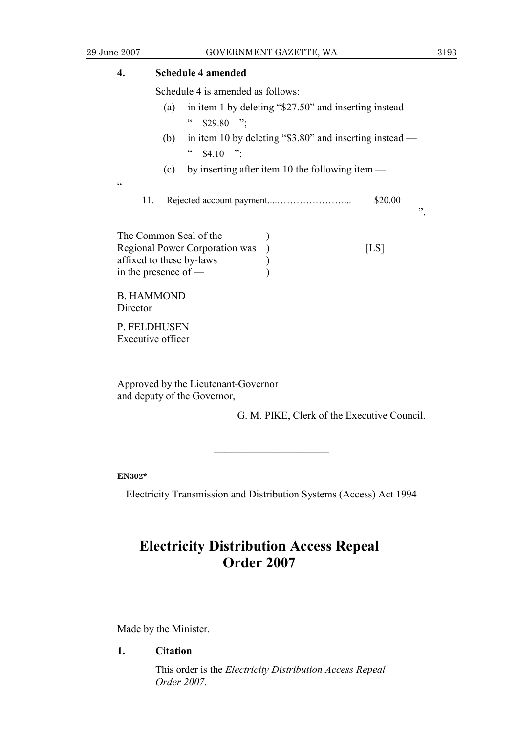## **4. Schedule 4 amended**  Schedule 4 is amended as follows: (a) in item 1 by deleting "\$27.50" and inserting instead —  $\frac{1}{2}$  \$29.80 ". (b) in item 10 by deleting "\$3.80" and inserting instead —  $\degree$  \$4.10 ": (c) by inserting after item 10 the following item —  $\epsilon$ 11. Rejected account payment....…………………... \$20.00 ". The Common Seal of the  $\qquad$ ) Regional Power Corporation was ) [LS] affixed to these by-laws (a) in the presence of — ) B. HAMMOND **Director** P. FELDHUSEN Executive officer

Approved by the Lieutenant-Governor and deputy of the Governor,

G. M. PIKE, Clerk of the Executive Council.

**EN302\*** 

Electricity Transmission and Distribution Systems (Access) Act 1994

———————————

## **Electricity Distribution Access Repeal Order 2007**

Made by the Minister.

**1. Citation** 

 This order is the *Electricity Distribution Access Repeal Order 2007*.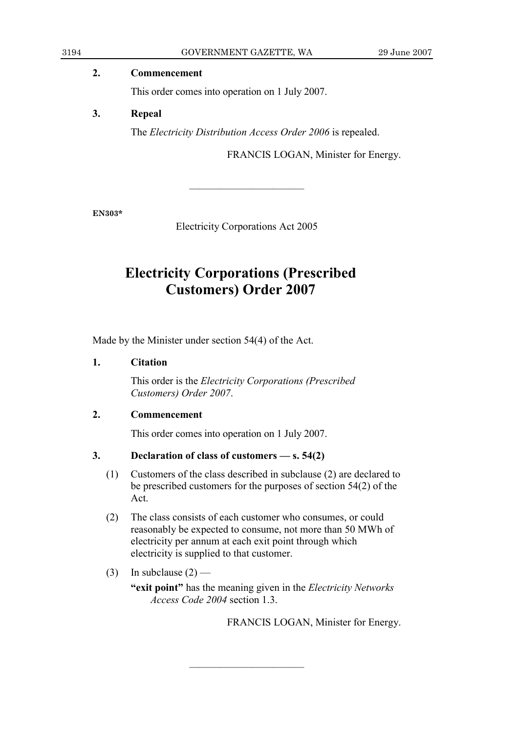| 3194 | GOVERNMENT GAZETTE, WA                          | 29 June 2007 |
|------|-------------------------------------------------|--------------|
|      | <b>Commencement</b>                             |              |
|      | This order comes into operation on 1 July 2007. |              |
| 3.   | Repeal                                          |              |

The *Electricity Distribution Access Order 2006* is repealed.

FRANCIS LOGAN, Minister for Energy.

**EN303\*** 

Electricity Corporations Act 2005

———————————

## **Electricity Corporations (Prescribed Customers) Order 2007**

Made by the Minister under section 54(4) of the Act.

## **1. Citation**

 This order is the *Electricity Corporations (Prescribed Customers) Order 2007*.

## **2. Commencement**

This order comes into operation on 1 July 2007.

## **3. Declaration of class of customers — s. 54(2)**

- (1) Customers of the class described in subclause (2) are declared to be prescribed customers for the purposes of section 54(2) of the Act.
- (2) The class consists of each customer who consumes, or could reasonably be expected to consume, not more than 50 MWh of electricity per annum at each exit point through which electricity is supplied to that customer.

———————————

(3) In subclause  $(2)$  —

 **"exit point"** has the meaning given in the *Electricity Networks Access Code 2004* section 1.3.

FRANCIS LOGAN, Minister for Energy.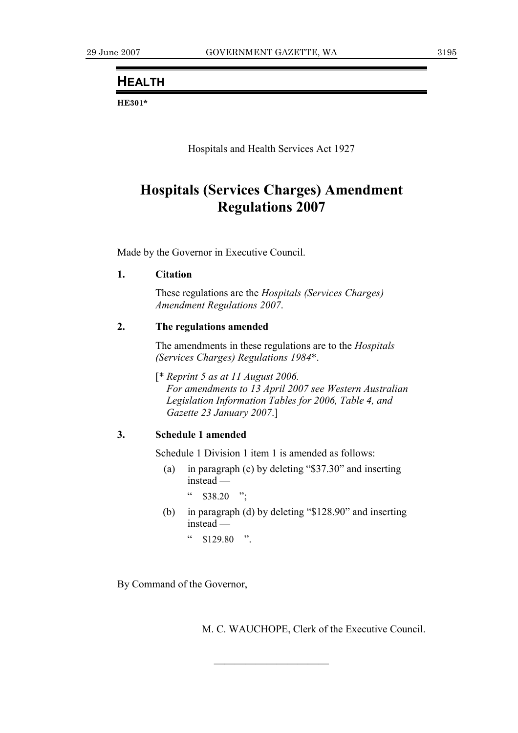## **HEALTH**

**HE301\*** 

Hospitals and Health Services Act 1927

## **Hospitals (Services Charges) Amendment Regulations 2007**

Made by the Governor in Executive Council.

## **1. Citation**

 These regulations are the *Hospitals (Services Charges) Amendment Regulations 2007*.

## **2. The regulations amended**

 The amendments in these regulations are to the *Hospitals (Services Charges) Regulations 1984*\*.

 [\* *Reprint 5 as at 11 August 2006. For amendments to 13 April 2007 see Western Australian Legislation Information Tables for 2006, Table 4, and Gazette 23 January 2007*.]

## **3. Schedule 1 amended**

Schedule 1 Division 1 item 1 is amended as follows:

 (a) in paragraph (c) by deleting "\$37.30" and inserting instead —

 $\degree$  \$38.20 ";

 (b) in paragraph (d) by deleting "\$128.90" and inserting instead —

———————————

 $\frac{1}{29}$  \$129.80 ".

By Command of the Governor,

M. C. WAUCHOPE, Clerk of the Executive Council.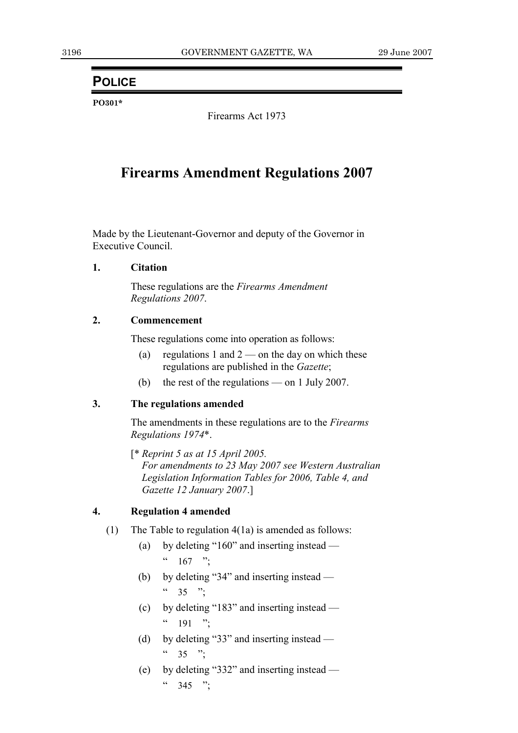## **POLICE**

**PO301\*** 

Firearms Act 1973

## **Firearms Amendment Regulations 2007**

Made by the Lieutenant-Governor and deputy of the Governor in Executive Council.

### **1. Citation**

 These regulations are the *Firearms Amendment Regulations 2007*.

### **2. Commencement**

These regulations come into operation as follows:

- (a) regulations 1 and  $2$  on the day on which these regulations are published in the *Gazette*;
- (b) the rest of the regulations on 1 July 2007.

## **3. The regulations amended**

 The amendments in these regulations are to the *Firearms Regulations 1974*\*.

 [\* *Reprint 5 as at 15 April 2005. For amendments to 23 May 2007 see Western Australian Legislation Information Tables for 2006, Table 4, and Gazette 12 January 2007*.]

## **4. Regulation 4 amended**

- (1) The Table to regulation 4(1a) is amended as follows:
	- (a) by deleting "160" and inserting instead  $\frac{167}{167}$  ";
	- (b) by deleting "34" and inserting instead  $\frac{1}{25}$  ":
	- (c) by deleting "183" and inserting instead  $\frac{191}{\cdot}$  ":
	- (d) by deleting "33" and inserting instead  $(1, 35)$  ".
	- (e) by deleting "332" and inserting instead  $\frac{1}{2}$  345 ";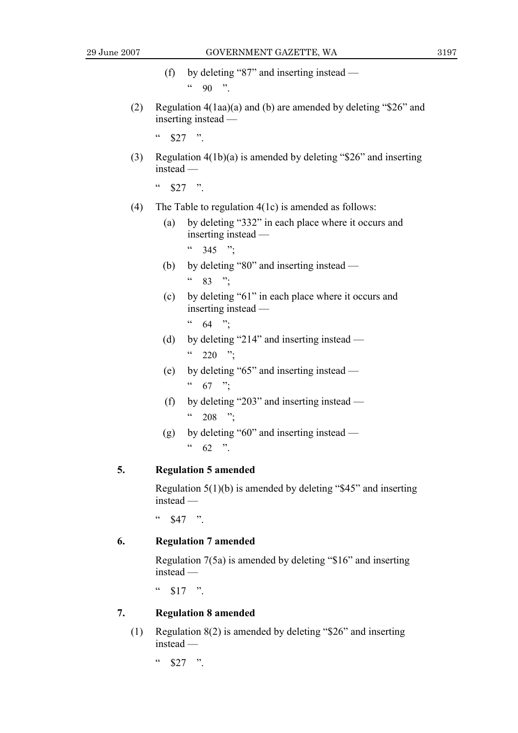(f) by deleting "87" and inserting instead —  $\frac{1}{2}$  90 "

 (2) Regulation 4(1aa)(a) and (b) are amended by deleting "\$26" and inserting instead —

 $\frac{1}{2}$  \$27 ".

 (3) Regulation 4(1b)(a) is amended by deleting "\$26" and inserting instead —

 $\frac{1}{2}$  \$27 "

- (4) The Table to regulation 4(1c) is amended as follows:
	- (a) by deleting "332" in each place where it occurs and inserting instead —
		- $^{66}$  345 ";
	- (b) by deleting "80" and inserting instead
		- $\frac{1}{2}$  83 ";
	- (c) by deleting "61" in each place where it occurs and inserting instead —

 $(64 \t m)$ 

- (d) by deleting "214" and inserting instead  $(220)$  ";
- (e) by deleting "65" and inserting instead  $67$  ";
- (f) by deleting "203" and inserting instead  $^{44}$  208 ";
- (g) by deleting "60" and inserting instead  $^{44}$  62 ".

### **5. Regulation 5 amended**

 Regulation 5(1)(b) is amended by deleting "\$45" and inserting instead —

 $\frac{1}{2}$  \$47 ".

## **6. Regulation 7 amended**

 Regulation 7(5a) is amended by deleting "\$16" and inserting instead —

 $\frac{1}{2}$  \$17 ".

### **7. Regulation 8 amended**

 (1) Regulation 8(2) is amended by deleting "\$26" and inserting instead —

 $\frac{1}{2}$  \$27 ".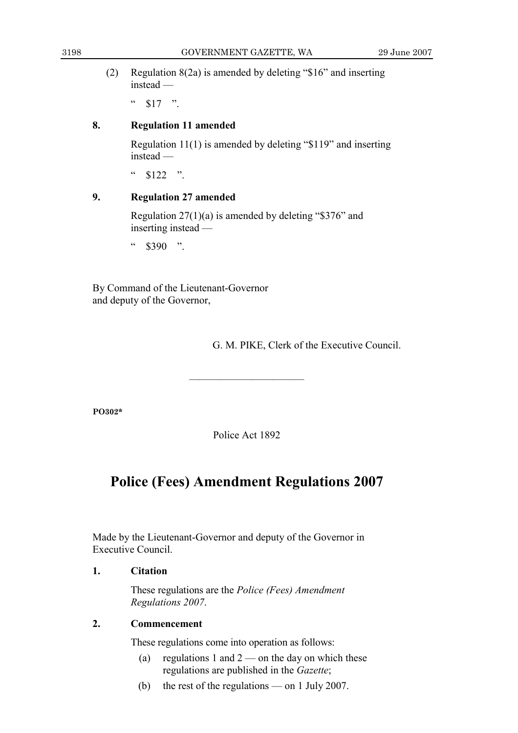(2) Regulation 8(2a) is amended by deleting "\$16" and inserting instead —

 $\frac{1}{2}$  \$17 ".

## **8. Regulation 11 amended**

 Regulation 11(1) is amended by deleting "\$119" and inserting instead —

 $\frac{1}{2}$  \$122 ".

## **9. Regulation 27 amended**

 Regulation 27(1)(a) is amended by deleting "\$376" and inserting instead —

 $4.8390$  "

By Command of the Lieutenant-Governor and deputy of the Governor,

G. M. PIKE, Clerk of the Executive Council.

**PO302\*** 

Police Act 1892

———————————

## **Police (Fees) Amendment Regulations 2007**

Made by the Lieutenant-Governor and deputy of the Governor in Executive Council.

## **1. Citation**

 These regulations are the *Police (Fees) Amendment Regulations 2007*.

## **2. Commencement**

These regulations come into operation as follows:

- (a) regulations 1 and  $2$  on the day on which these regulations are published in the *Gazette*;
- (b) the rest of the regulations on 1 July 2007.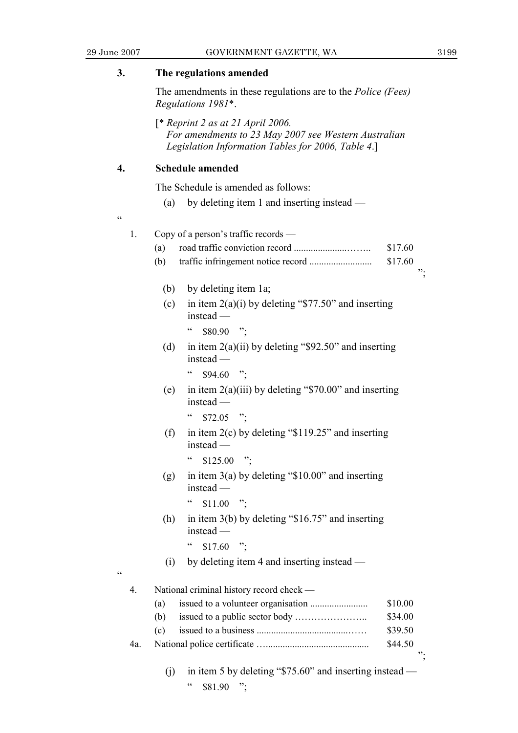";

";

| 3.                                                                                                                                                 |                  | The regulations amended                                                                   |                                                                        |         |  |
|----------------------------------------------------------------------------------------------------------------------------------------------------|------------------|-------------------------------------------------------------------------------------------|------------------------------------------------------------------------|---------|--|
|                                                                                                                                                    |                  | The amendments in these regulations are to the <i>Police (Fees)</i><br>Regulations 1981*. |                                                                        |         |  |
| $[$ * Reprint 2 as at 21 April 2006.<br>For amendments to 23 May 2007 see Western Australian<br>Legislation Information Tables for 2006, Table 4.] |                  |                                                                                           |                                                                        |         |  |
| 4.                                                                                                                                                 |                  |                                                                                           | <b>Schedule amended</b>                                                |         |  |
|                                                                                                                                                    |                  |                                                                                           | The Schedule is amended as follows:                                    |         |  |
|                                                                                                                                                    |                  | by deleting item 1 and inserting instead —<br>(a)                                         |                                                                        |         |  |
| cc                                                                                                                                                 | 1.               |                                                                                           | Copy of a person's traffic records —                                   |         |  |
|                                                                                                                                                    |                  | (a)                                                                                       |                                                                        | \$17.60 |  |
|                                                                                                                                                    |                  | (b)                                                                                       |                                                                        | \$17.60 |  |
|                                                                                                                                                    |                  | (b)                                                                                       | by deleting item 1a;                                                   |         |  |
|                                                                                                                                                    |                  | (c)                                                                                       | in item $2(a)(i)$ by deleting "\$77.50" and inserting<br>$instead -$   |         |  |
|                                                                                                                                                    |                  |                                                                                           | $\zeta\,\zeta$<br>$$80.90$ ";                                          |         |  |
|                                                                                                                                                    |                  | (d)                                                                                       | in item $2(a)(ii)$ by deleting "\$92.50" and inserting<br>$instead -$  |         |  |
|                                                                                                                                                    |                  |                                                                                           | $\epsilon$<br>$$94.60$ ";                                              |         |  |
|                                                                                                                                                    |                  | (e)                                                                                       | in item $2(a)(iii)$ by deleting "\$70.00" and inserting<br>$instead -$ |         |  |
|                                                                                                                                                    |                  |                                                                                           | $\zeta\,\zeta$<br>$$72.05$ ";                                          |         |  |
|                                                                                                                                                    |                  | (f)                                                                                       | in item $2(c)$ by deleting "\$119.25" and inserting<br>$instead$ —     |         |  |
|                                                                                                                                                    |                  |                                                                                           | " $$125.00$ ";                                                         |         |  |
|                                                                                                                                                    |                  | (g)                                                                                       | in item $3(a)$ by deleting "\$10.00" and inserting<br>instead -        |         |  |
|                                                                                                                                                    |                  |                                                                                           | $\zeta$ $\zeta$<br>$\ddot{\phantom{1}}$<br>\$11.00                     |         |  |
|                                                                                                                                                    |                  | (h)                                                                                       | in item $3(b)$ by deleting "\$16.75" and inserting<br>instead -        |         |  |
|                                                                                                                                                    |                  |                                                                                           | $\epsilon$<br>$$17.60$ ":                                              |         |  |
| cc                                                                                                                                                 |                  | (i)                                                                                       | by deleting item 4 and inserting instead —                             |         |  |
|                                                                                                                                                    | $\overline{4}$ . |                                                                                           | National criminal history record check —                               |         |  |
|                                                                                                                                                    |                  | (a)                                                                                       |                                                                        | \$10.00 |  |
|                                                                                                                                                    |                  | (b)                                                                                       |                                                                        | \$34.00 |  |
|                                                                                                                                                    |                  | (c)                                                                                       |                                                                        | \$39.50 |  |
|                                                                                                                                                    | 4a.              |                                                                                           |                                                                        | \$44.50 |  |

 (j) in item 5 by deleting "\$75.60" and inserting instead — "  $$81.90$  ";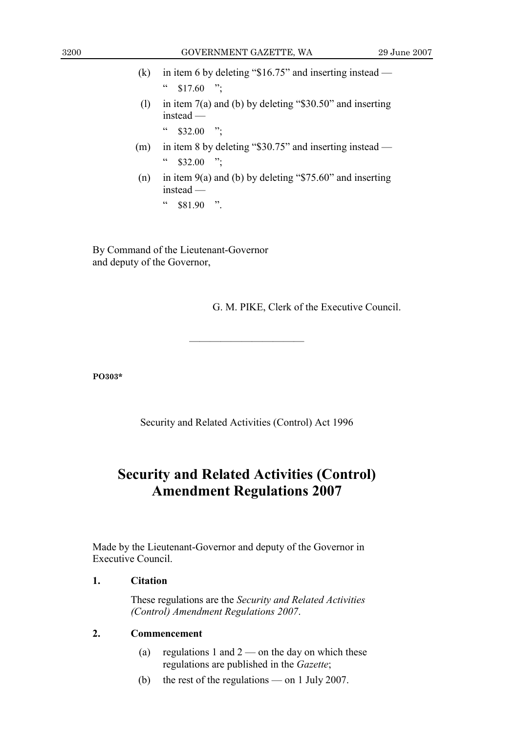- (k) in item 6 by deleting " $$16.75"$  and inserting instead  $\degree$  \$17.60 ";
- (1) in item  $7(a)$  and (b) by deleting "\$30.50" and inserting instead —
	- $\frac{1}{2}$  \$32.00 ".
- (m) in item 8 by deleting "\$30.75" and inserting instead  $\degree$  \$32.00 ";
- (n) in item  $9(a)$  and (b) by deleting "\$75.60" and inserting instead —
	- $"$  \$81.90 ".

By Command of the Lieutenant-Governor and deputy of the Governor,

G. M. PIKE, Clerk of the Executive Council.

**PO303\*** 

Security and Related Activities (Control) Act 1996

———————————

## **Security and Related Activities (Control) Amendment Regulations 2007**

Made by the Lieutenant-Governor and deputy of the Governor in Executive Council.

## **1. Citation**

 These regulations are the *Security and Related Activities (Control) Amendment Regulations 2007*.

## **2. Commencement**

- (a) regulations 1 and  $2$  on the day on which these regulations are published in the *Gazette*;
- (b) the rest of the regulations on 1 July 2007.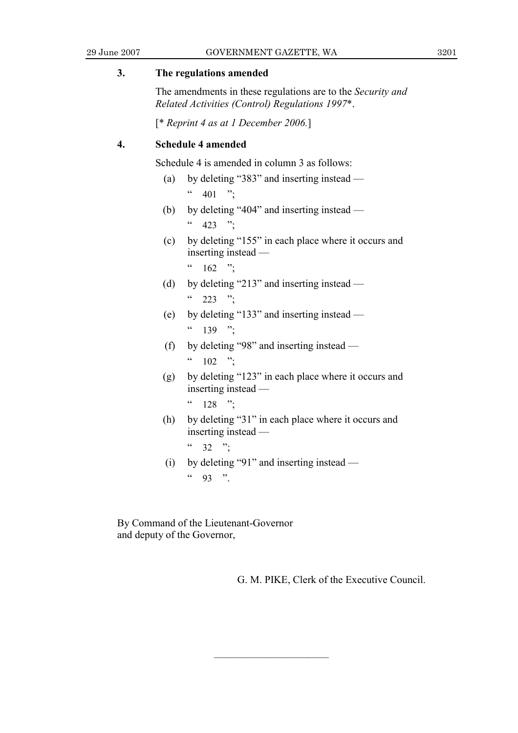### **3. The regulations amended**

 The amendments in these regulations are to the *Security and Related Activities (Control) Regulations 1997*\*.

[\* *Reprint 4 as at 1 December 2006.*]

## **4. Schedule 4 amended**

Schedule 4 is amended in column 3 as follows:

- (a) by deleting "383" and inserting instead  $\frac{1}{2}$  401 ";
- (b) by deleting "404" and inserting instead  $^{66}$  423 ";
- (c) by deleting "155" in each place where it occurs and inserting instead —
	- $^{66}$  162 ";
- (d) by deleting "213" and inserting instead  $\frac{1}{223}$  ";
- (e) by deleting "133" and inserting instead  $(139)$  "
- (f) by deleting "98" and inserting instead  $(102 \t m)$
- (g) by deleting "123" in each place where it occurs and inserting instead —
	- $\frac{128}{\cdot}$  ":
- (h) by deleting "31" in each place where it occurs and inserting instead —
	- $(1, 32)$  "
- (i) by deleting "91" and inserting instead  $^{44}$  93 ".

———————————

By Command of the Lieutenant-Governor and deputy of the Governor,

G. M. PIKE, Clerk of the Executive Council.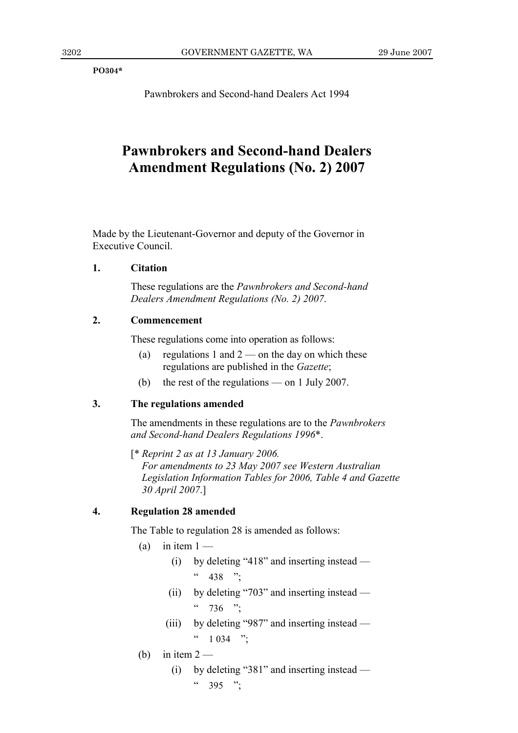**PO304\*** 

Pawnbrokers and Second-hand Dealers Act 1994

## **Pawnbrokers and Second-hand Dealers Amendment Regulations (No. 2) 2007**

Made by the Lieutenant-Governor and deputy of the Governor in Executive Council.

## **1. Citation**

 These regulations are the *Pawnbrokers and Second-hand Dealers Amendment Regulations (No. 2) 2007*.

## **2. Commencement**

These regulations come into operation as follows:

- (a) regulations 1 and  $2$  on the day on which these regulations are published in the *Gazette*;
- (b) the rest of the regulations on 1 July 2007.

## **3. The regulations amended**

 The amendments in these regulations are to the *Pawnbrokers and Second-hand Dealers Regulations 1996*\*.

 [\* *Reprint 2 as at 13 January 2006. For amendments to 23 May 2007 see Western Australian Legislation Information Tables for 2006, Table 4 and Gazette 30 April 2007*.]

## **4. Regulation 28 amended**

The Table to regulation 28 is amended as follows:

- (a) in item  $1 -$ 
	- (i) by deleting "418" and inserting instead  $^{66}$  438 ";
	- (ii) by deleting "703" and inserting instead  $\frac{1}{2}$  736 ";
	- (iii) by deleting "987" and inserting instead  $(1034)$  ";
- (b) in item  $2 -$ 
	- (i) by deleting "381" and inserting instead  $\frac{1}{2}$  395 ";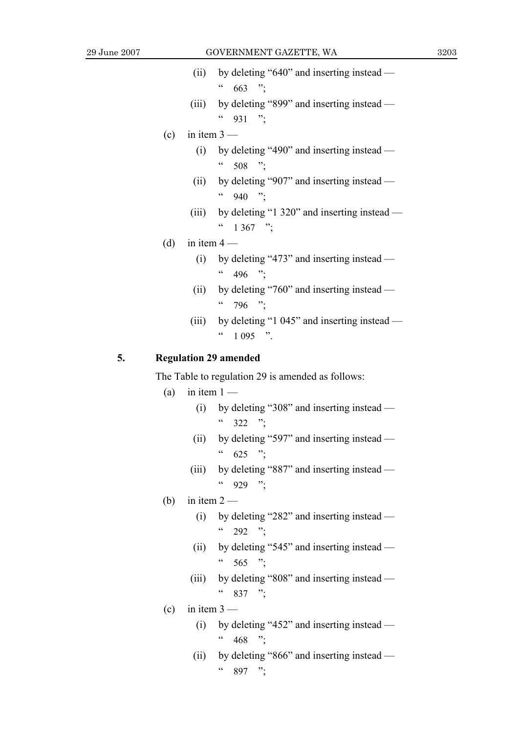- (ii) by deleting "640" and inserting instead  $663$  ";
- (iii) by deleting "899" and inserting instead  $^{66}$  931 ";
- (c) in item  $3 -$ 
	- (i) by deleting "490" and inserting instead  $\frac{1}{2}$  508 ";
	- (ii) by deleting "907" and inserting instead  $^{66}$  940 ";
	- (iii) by deleting "1 320" and inserting instead  $\frac{1367}{\cdot}$  ":
- (d) in item  $4 -$ 
	- (i) by deleting "473" and inserting instead  $\frac{1}{496}$  ";
	- (ii) by deleting "760" and inserting instead  $\frac{1}{2}$  796 ";
	- (iii) by deleting "1 045" and inserting instead  $(1095)$  "

## **5. Regulation 29 amended**

The Table to regulation 29 is amended as follows:

- (a) in item  $1 -$ 
	- (i) by deleting "308" and inserting instead  $^{6}$  322 ";
	- (ii) by deleting "597" and inserting instead  $^{66}$  625 ";
	- (iii) by deleting "887" and inserting instead  $^{44}$  929 ";
- (b) in item  $2 -$ 
	- (i) by deleting "282" and inserting instead  $(292)$  ":
	- (ii) by deleting "545" and inserting instead  $\frac{1}{2}$  565 ";
	- (iii) by deleting "808" and inserting instead  $\frac{1}{2}$  837 ";
- $(c)$  in item  $3 -$ 
	- (i) by deleting "452" and inserting instead  $468$  ";
	- (ii) by deleting "866" and inserting instead  $\frac{1}{2}$  897 ";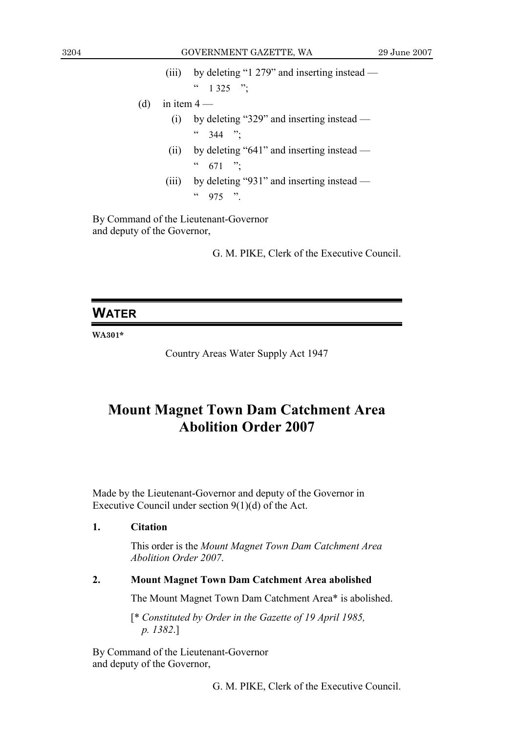- (iii) by deleting "1 279" and inserting instead  $(1, 325)$  ";
- (d) in item  $4 -$ 
	- (i) by deleting "329" and inserting instead  $\frac{1}{2}$  344 ";
	- (ii) by deleting "641" and inserting instead  $\frac{1}{671}$  ";
	- (iii) by deleting "931" and inserting instead  $^{44}$  975 ".

By Command of the Lieutenant-Governor and deputy of the Governor,

G. M. PIKE, Clerk of the Executive Council.

## **WATER**

**WA301\*** 

Country Areas Water Supply Act 1947

## **Mount Magnet Town Dam Catchment Area Abolition Order 2007**

Made by the Lieutenant-Governor and deputy of the Governor in Executive Council under section 9(1)(d) of the Act.

## **1. Citation**

 This order is the *Mount Magnet Town Dam Catchment Area Abolition Order 2007*.

## **2. Mount Magnet Town Dam Catchment Area abolished**

The Mount Magnet Town Dam Catchment Area\* is abolished.

 [\* *Constituted by Order in the Gazette of 19 April 1985, p. 1382*.]

By Command of the Lieutenant-Governor and deputy of the Governor,

G. M. PIKE, Clerk of the Executive Council.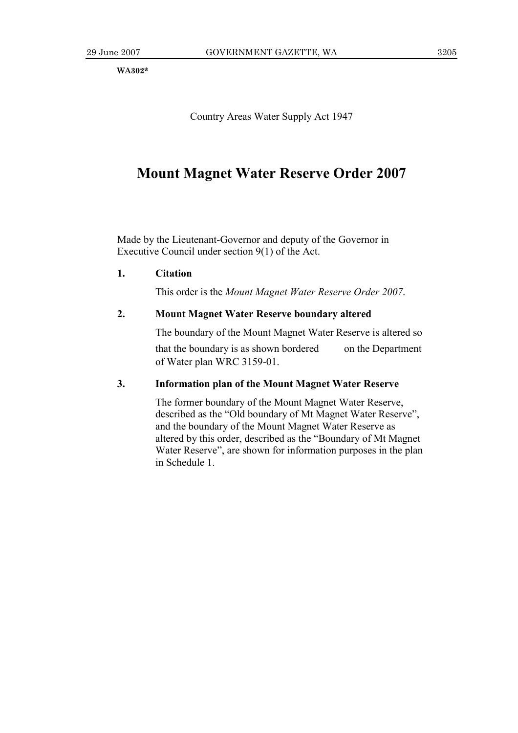**WA302\*** 

Country Areas Water Supply Act 1947

## **Mount Magnet Water Reserve Order 2007**

Made by the Lieutenant-Governor and deputy of the Governor in Executive Council under section 9(1) of the Act.

## **1. Citation**

This order is the *Mount Magnet Water Reserve Order 2007*.

## **2. Mount Magnet Water Reserve boundary altered**

The boundary of the Mount Magnet Water Reserve is altered so

that the boundary is as shown bordered on the Department of Water plan WRC 3159-01.

### **3. Information plan of the Mount Magnet Water Reserve**

 The former boundary of the Mount Magnet Water Reserve, described as the "Old boundary of Mt Magnet Water Reserve", and the boundary of the Mount Magnet Water Reserve as altered by this order, described as the "Boundary of Mt Magnet Water Reserve", are shown for information purposes in the plan in Schedule 1.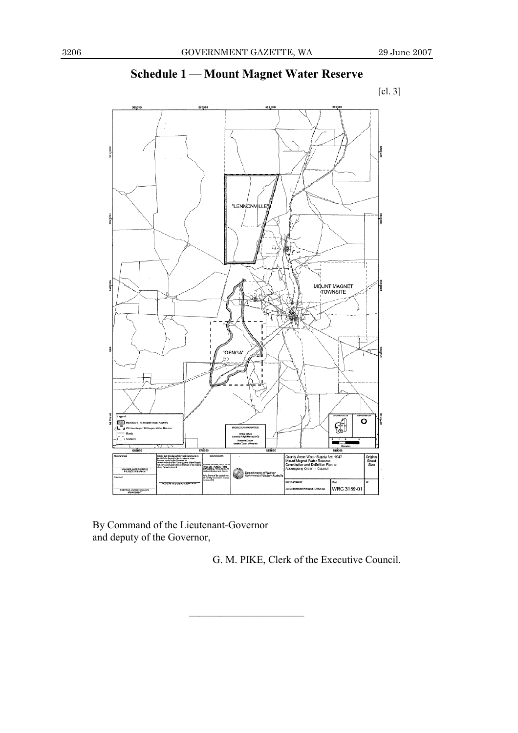## 560,000  $\Box$ "LENNONV lue s. MOUNT MAGNET "GENGA" Ř. 1879880 Gil  $\overline{\circ}$ 599090 County Areas Water Supply Act, 1947<br>Mount Magnet Water Reserve<br>Constitution and Definition Plan to<br>Accompany Order in Council Criginal<br>Sheet<br>Size u 25k - ALISELIO - 1808<br>Inautikwi, VARC, 151 10.86<br>Inter D.Ol.A.Land Temam .<br>Novasilik, Waltsjik Boke Department of Wat ic Sure of the<br>died by interne WRC 3159-01 R WEERS

———————————

## **Schedule 1 — Mount Magnet Water Reserve**



By Command of the Lieutenant-Governor and deputy of the Governor,

G. M. PIKE, Clerk of the Executive Council.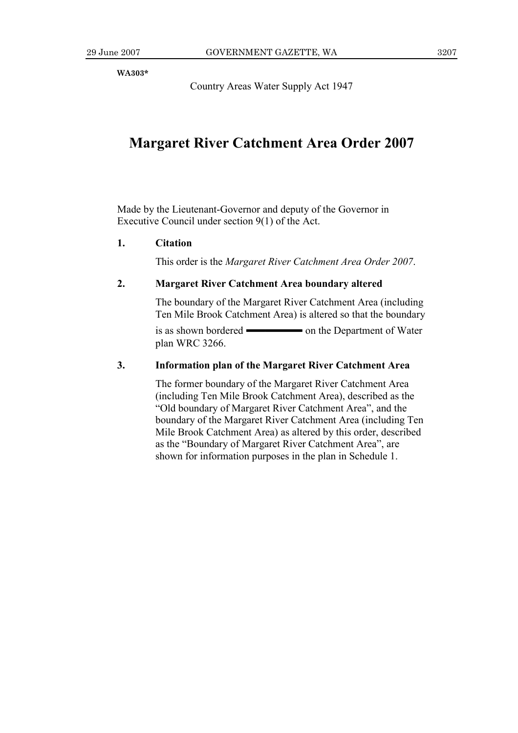**WA303\*** 

Country Areas Water Supply Act 1947

## **Margaret River Catchment Area Order 2007**

Made by the Lieutenant-Governor and deputy of the Governor in Executive Council under section 9(1) of the Act.

## **1. Citation**

This order is the *Margaret River Catchment Area Order 2007*.

## **2. Margaret River Catchment Area boundary altered**

 The boundary of the Margaret River Catchment Area (including Ten Mile Brook Catchment Area) is altered so that the boundary

is as shown bordered ——— on the Department of Water plan WRC 3266.

### **3. Information plan of the Margaret River Catchment Area**

 The former boundary of the Margaret River Catchment Area (including Ten Mile Brook Catchment Area), described as the "Old boundary of Margaret River Catchment Area", and the boundary of the Margaret River Catchment Area (including Ten Mile Brook Catchment Area) as altered by this order, described as the "Boundary of Margaret River Catchment Area", are shown for information purposes in the plan in Schedule 1.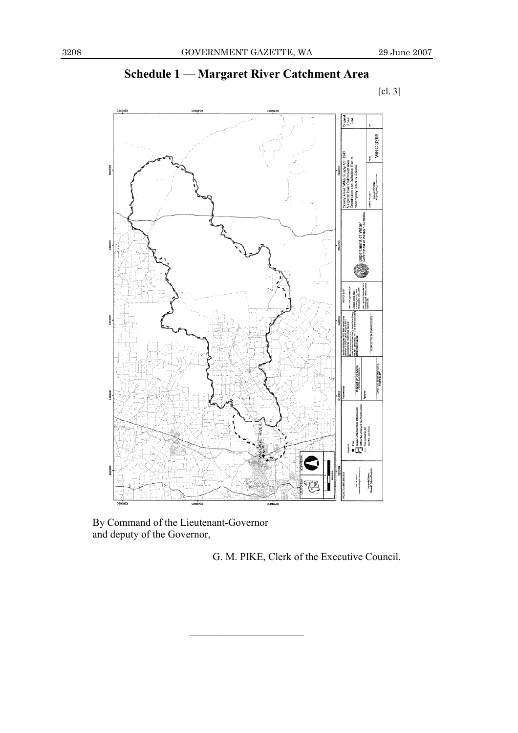## **Schedule 1 — Margaret River Catchment Area**



———————————

By Command of the Lieutenant-Governor and deputy of the Governor,

G. M. PIKE, Clerk of the Executive Council.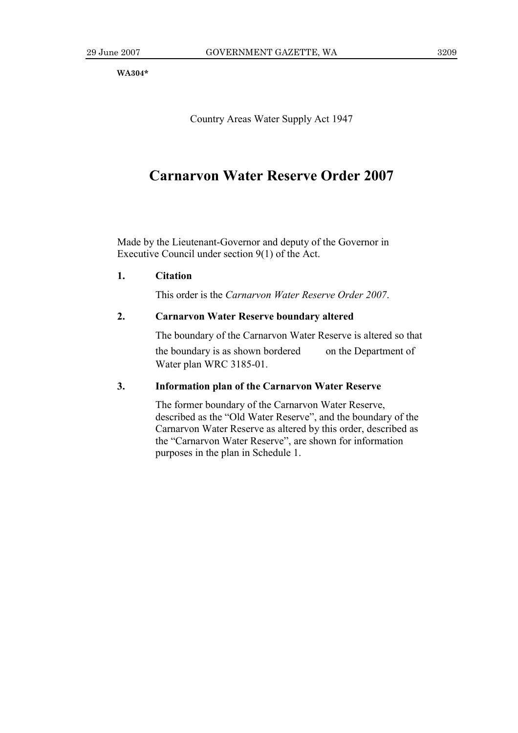**WA304\*** 

Country Areas Water Supply Act 1947

## **Carnarvon Water Reserve Order 2007**

Made by the Lieutenant-Governor and deputy of the Governor in Executive Council under section 9(1) of the Act.

### **1. Citation**

This order is the *Carnarvon Water Reserve Order 2007*.

## **2. Carnarvon Water Reserve boundary altered**

The boundary of the Carnarvon Water Reserve is altered so that

the boundary is as shown bordered on the Department of Water plan WRC 3185-01.

## **3. Information plan of the Carnarvon Water Reserve**

 The former boundary of the Carnarvon Water Reserve, described as the "Old Water Reserve", and the boundary of the Carnarvon Water Reserve as altered by this order, described as the "Carnarvon Water Reserve", are shown for information purposes in the plan in Schedule 1.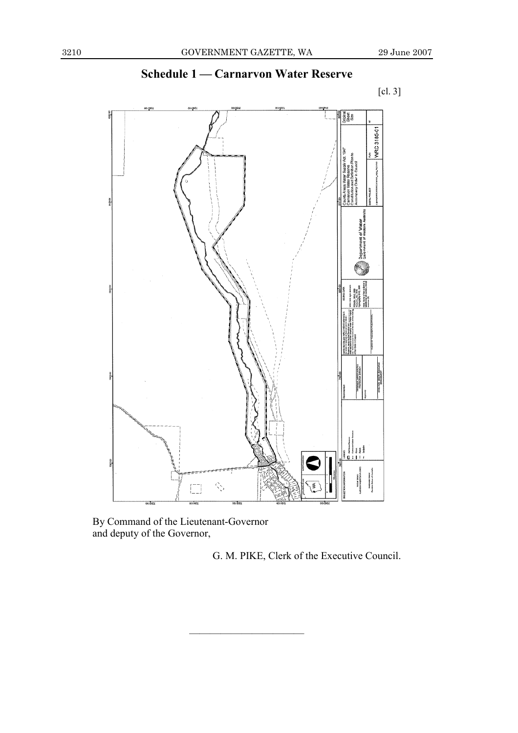

———————————

## **Schedule 1 — Carnarvon Water Reserve**

By Command of the Lieutenant-Governor and deputy of the Governor,

G. M. PIKE, Clerk of the Executive Council.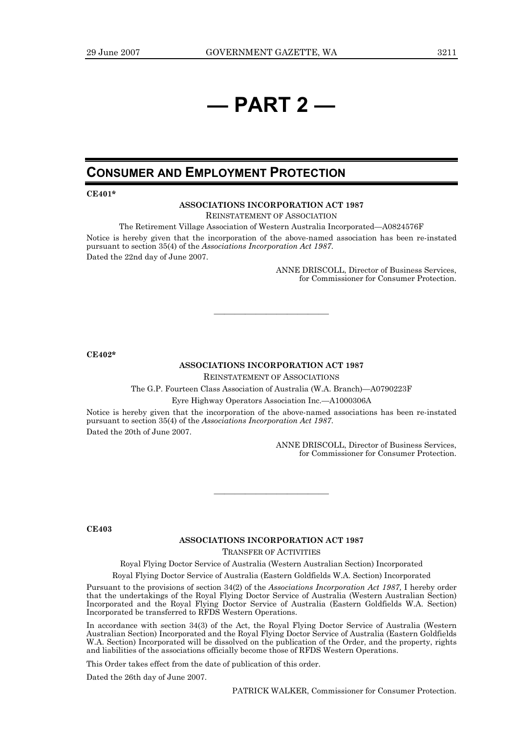## **— PART 2 —**

## **CONSUMER AND EMPLOYMENT PROTECTION**

**CE401\*** 

#### **ASSOCIATIONS INCORPORATION ACT 1987**

REINSTATEMENT OF ASSOCIATION

The Retirement Village Association of Western Australia Incorporated—A0824576F Notice is hereby given that the incorporation of the above-named association has been re-instated pursuant to section 35(4) of the *Associations Incorporation Act 1987*. Dated the 22nd day of June 2007.

> ANNE DRISCOLL, Director of Business Services, for Commissioner for Consumer Protection.

**CE402\*** 

#### **ASSOCIATIONS INCORPORATION ACT 1987**

———————————

REINSTATEMENT OF ASSOCIATIONS

The G.P. Fourteen Class Association of Australia (W.A. Branch)—A0790223F

Eyre Highway Operators Association Inc.—A1000306A

Notice is hereby given that the incorporation of the above-named associations has been re-instated pursuant to section 35(4) of the *Associations Incorporation Act 1987*. Dated the 20th of June 2007.

> ANNE DRISCOLL, Director of Business Services, for Commissioner for Consumer Protection.

**CE403** 

#### **ASSOCIATIONS INCORPORATION ACT 1987**

———————————

TRANSFER OF ACTIVITIES

Royal Flying Doctor Service of Australia (Western Australian Section) Incorporated

Royal Flying Doctor Service of Australia (Eastern Goldfields W.A. Section) Incorporated

Pursuant to the provisions of section 34(2) of the *Associations Incorporation Act 1987,* I hereby order that the undertakings of the Royal Flying Doctor Service of Australia (Western Australian Section) Incorporated and the Royal Flying Doctor Service of Australia (Eastern Goldfields W.A. Section) Incorporated be transferred to RFDS Western Operations.

In accordance with section 34(3) of the Act, the Royal Flying Doctor Service of Australia (Western Australian Section) Incorporated and the Royal Flying Doctor Service of Australia (Eastern Goldfields W.A. Section) Incorporated will be dissolved on the publication of the Order, and the property, rights and liabilities of the associations officially become those of RFDS Western Operations.

This Order takes effect from the date of publication of this order.

Dated the 26th day of June 2007.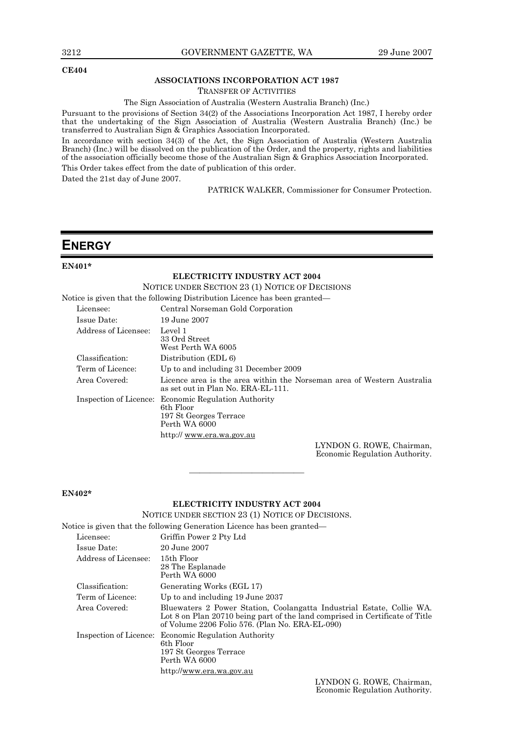#### **CE404**

#### **ASSOCIATIONS INCORPORATION ACT 1987**

TRANSFER OF ACTIVITIES

The Sign Association of Australia (Western Australia Branch) (Inc.)

Pursuant to the provisions of Section 34(2) of the Associations Incorporation Act 1987, I hereby order that the undertaking of the Sign Association of Australia (Western Australia Branch) (Inc.) be transferred to Australian Sign & Graphics Association Incorporated.

In accordance with section 34(3) of the Act, the Sign Association of Australia (Western Australia Branch) (Inc.) will be dissolved on the publication of the Order, and the property, rights and liabilities of the association officially become those of the Australian Sign & Graphics Association Incorporated. This Order takes effect from the date of publication of this order.

Dated the 21st day of June 2007.

PATRICK WALKER, Commissioner for Consumer Protection.

## **ENERGY**

#### **EN401\***

#### **ELECTRICITY INDUSTRY ACT 2004**

NOTICE UNDER SECTION 23 (1) NOTICE OF DECISIONS

Notice is given that the following Distribution Licence has been granted—

| Licensee:              | Central Norseman Gold Corporation                                                                                                                                                                                                                                                                                                         |
|------------------------|-------------------------------------------------------------------------------------------------------------------------------------------------------------------------------------------------------------------------------------------------------------------------------------------------------------------------------------------|
| Issue Date:            | 19 June 2007                                                                                                                                                                                                                                                                                                                              |
| Address of Licensee:   | Level 1<br>33 Ord Street<br>West Perth WA 6005                                                                                                                                                                                                                                                                                            |
| Classification:        | Distribution (EDL 6)                                                                                                                                                                                                                                                                                                                      |
| Term of Licence:       | Up to and including 31 December 2009                                                                                                                                                                                                                                                                                                      |
| Area Covered:          | Licence area is the area within the Norseman area of Western Australia<br>as set out in Plan No. ERA-EL-111.                                                                                                                                                                                                                              |
| Inspection of Licence: | <b>Economic Regulation Authority</b><br>6th Floor<br>197 St Georges Terrace<br>Perth WA 6000                                                                                                                                                                                                                                              |
|                        | http:// www.era.wa.gov.au                                                                                                                                                                                                                                                                                                                 |
|                        | $\mathbf{I}$ vain $\alpha$ is $\alpha$ in $\alpha$ in $\alpha$ in $\alpha$ is $\alpha$ is $\alpha$ is $\alpha$ is $\alpha$ is $\alpha$ is $\alpha$ is $\alpha$ is $\alpha$ is $\alpha$ is $\alpha$ is $\alpha$ is $\alpha$ is $\alpha$ is $\alpha$ is $\alpha$ is $\alpha$ is $\alpha$ is $\alpha$ is $\alpha$ is $\alpha$ is $\alpha$ is |

LYNDON G. ROWE, Chairman, Economic Regulation Authority.

#### **EN402\***

#### **ELECTRICITY INDUSTRY ACT 2004**

———————————

NOTICE UNDER SECTION 23 (1) NOTICE OF DECISIONS.

Notice is given that the following Generation Licence has been granted—

| Licensee:              | Griffin Power 2 Pty Ltd                                                                                                                                                                                  |
|------------------------|----------------------------------------------------------------------------------------------------------------------------------------------------------------------------------------------------------|
| Issue Date:            | 20 June 2007                                                                                                                                                                                             |
| Address of Licensee:   | 15th Floor<br>28 The Esplanade<br>Perth WA 6000                                                                                                                                                          |
| Classification:        | Generating Works (EGL 17)                                                                                                                                                                                |
| Term of Licence:       | Up to and including 19 June 2037                                                                                                                                                                         |
| Area Covered:          | Bluewaters 2 Power Station, Coolangatta Industrial Estate, Collie WA.<br>Lot 8 on Plan 20710 being part of the land comprised in Certificate of Title<br>of Volume 2206 Folio 576. (Plan No. ERA-EL-090) |
| Inspection of Licence: | <b>Economic Regulation Authority</b><br>6th Floor<br>197 St Georges Terrace<br>Perth WA 6000                                                                                                             |
|                        | http://www.era.wa.gov.au                                                                                                                                                                                 |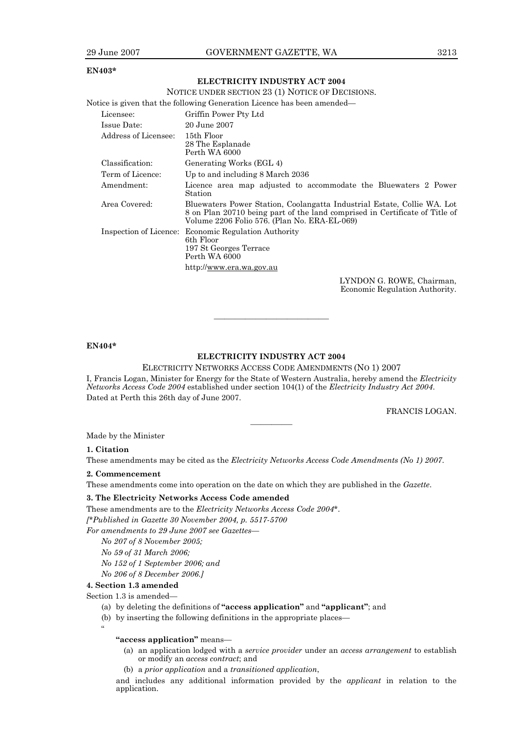#### **EN403\***

#### **ELECTRICITY INDUSTRY ACT 2004**

|                      | NOTICE UNDER SECTION 23 (1) NOTICE OF DECISIONS.                                                                                                                                                       |
|----------------------|--------------------------------------------------------------------------------------------------------------------------------------------------------------------------------------------------------|
|                      | Notice is given that the following Generation Licence has been amended—                                                                                                                                |
| Licensee:            | Griffin Power Pty Ltd                                                                                                                                                                                  |
| Issue Date:          | 20 June 2007                                                                                                                                                                                           |
| Address of Licensee: | 15th Floor<br>28 The Esplanade<br>Perth WA 6000                                                                                                                                                        |
| Classification:      | Generating Works (EGL 4)                                                                                                                                                                               |
| Term of Licence:     | Up to and including 8 March 2036                                                                                                                                                                       |
| Amendment:           | Licence area map adjusted to accommodate the Bluewaters 2 Power<br><b>Station</b>                                                                                                                      |
| Area Covered:        | Bluewaters Power Station, Coolangatta Industrial Estate, Collie WA. Lot<br>8 on Plan 20710 being part of the land comprised in Certificate of Title of<br>Volume 2206 Folio 576. (Plan No. ERA-EL-069) |
|                      | Inspection of Licence: Economic Regulation Authority<br>6th Floor<br>197 St Georges Terrace<br>Perth WA 6000                                                                                           |
|                      | http://www.era.wa.gov.au                                                                                                                                                                               |
|                      | LYNDON G-ROWE Chairman                                                                                                                                                                                 |

LYNDON G. ROWE, Chairman, Economic Regulation Authority.

#### **EN404\***

#### **ELECTRICITY INDUSTRY ACT 2004**

———————————

ELECTRICITY NETWORKS ACCESS CODE AMENDMENTS (NO 1) 2007 I, Francis Logan, Minister for Energy for the State of Western Australia, hereby amend the *Electricity Networks Access Code 2004* established under section 104(1) of the *Electricity Industry Act 2004*. Dated at Perth this 26th day of June 2007.

————

FRANCIS LOGAN.

Made by the Minister

#### **1. Citation**

These amendments may be cited as the *Electricity Networks Access Code Amendments (No 1) 2007*.

#### **2. Commencement**

These amendments come into operation on the date on which they are published in the *Gazette*.

#### **3. The Electricity Networks Access Code amended**

These amendments are to the *Electricity Networks Access Code 2004\**.

*[\*Published in Gazette 30 November 2004, p. 5517-5700* 

*For amendments to 29 June 2007 see Gazettes—* 

*No 207 of 8 November 2005;* 

*No 59 of 31 March 2006;* 

*No 152 of 1 September 2006; and* 

*No 206 of 8 December 2006.]* 

#### **4. Section 1.3 amended**

Section 1.3 is amended—

"

- (a) by deleting the definitions of **"access application"** and **"applicant"**; and
- (b) by inserting the following definitions in the appropriate places—

#### **"access application"** means—

- (a) an application lodged with a *service provider* under an *access arrangement* to establish or modify an *access contract*; and
- (b) a *prior application* and a *transitioned application*,

and includes any additional information provided by the *applicant* in relation to the application.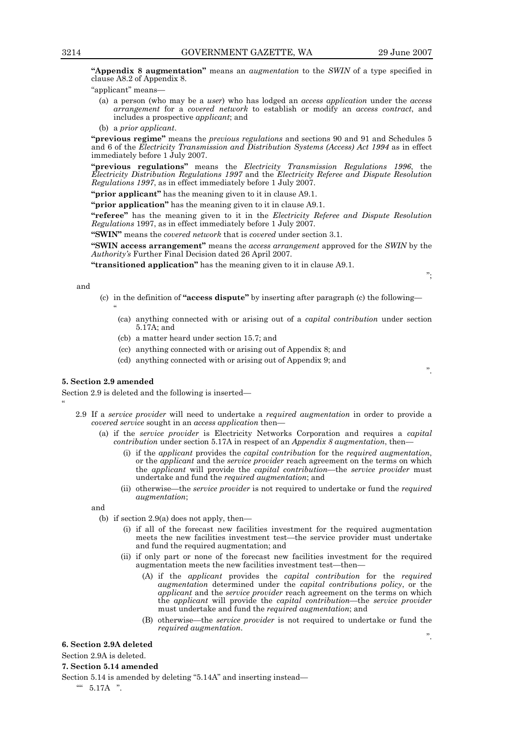";

".

".

**"Appendix 8 augmentation"** means an *augmentation* to the *SWIN* of a type specified in clause A8.2 of Appendix 8.

"applicant" means—

- (a) a person (who may be a *user*) who has lodged an *access application* under the *access arrangement* for a *covered network* to establish or modify an *access contract*, and includes a prospective *applicant*; and
- (b) a *prior applicant*.

**"previous regime"** means the *previous regulations* and sections 90 and 91 and Schedules 5 and 6 of the *Electricity Transmission and Distribution Systems (Access) Act 1994* as in effect immediately before 1 July 2007.

**"previous regulations"** means the *Electricity Transmission Regulations 1996*, the *Electricity Distribution Regulations 1997* and the *Electricity Referee and Dispute Resolution Regulations 1997*, as in effect immediately before 1 July 2007.

**"prior applicant"** has the meaning given to it in clause A9.1.

**"prior application"** has the meaning given to it in clause A9.1.

**"referee"** has the meaning given to it in the *Electricity Referee and Dispute Resolution Regulations* 1997, as in effect immediately before 1 July 2007.

**"SWIN"** means the *covered network* that is *covered* under section 3.1.

**"SWIN access arrangement"** means the *access arrangement* approved for the *SWIN* by the *Authority's* Further Final Decision dated 26 April 2007.

**"transitioned application"** has the meaning given to it in clause A9.1.

and

 $\ddot{\phantom{0}}$ 

- (c) in the definition of **"access dispute"** by inserting after paragraph (c) the following— "
	- (ca) anything connected with or arising out of a *capital contribution* under section 5.17A; and
	- (cb) a matter heard under section 15.7; and
	- (cc) anything connected with or arising out of Appendix 8; and
	- (cd) anything connected with or arising out of Appendix 9; and

#### **5. Section 2.9 amended**

Section 2.9 is deleted and the following is inserted—

- 2.9 If a *service provider* will need to undertake a *required augmentation* in order to provide a *covered service* sought in an *access application* then—
	- (a) if the *service provider* is Electricity Networks Corporation and requires a *capital contribution* under section 5.17A in respect of an *Appendix 8 augmentation*, then—
		- (i) if the *applicant* provides the *capital contribution* for the *required augmentation*, or the *applicant* and the *service provider* reach agreement on the terms on which the *applicant* will provide the *capital contribution*—the *service provider* must undertake and fund the *required augmentation*; and
		- (ii) otherwise—the *service provider* is not required to undertake or fund the *required augmentation*;

and

- (b) if section 2.9(a) does not apply, then—
	- (i) if all of the forecast new facilities investment for the required augmentation meets the new facilities investment test—the service provider must undertake and fund the required augmentation; and
	- (ii) if only part or none of the forecast new facilities investment for the required augmentation meets the new facilities investment test—then—
		- (A) if the *applicant* provides the *capital contribution* for the *required augmentation* determined under the *capital contributions policy*, or the *applicant* and the *service provider* reach agreement on the terms on which the *applicant* will provide the *capital contribution*—the *service provider*  must undertake and fund the *required augmentation*; and
		- (B) otherwise—the *service provider* is not required to undertake or fund the *required augmentation*.

**6. Section 2.9A deleted** 

Section 2.9A is deleted.

#### **7. Section 5.14 amended**

Section 5.14 is amended by deleting "5.14A" and inserting instead—

"" 5.17A ".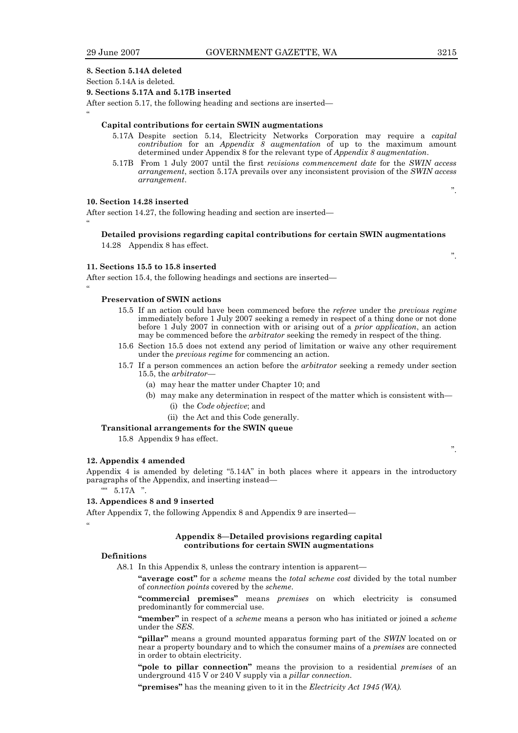$^{\circ}$ 

 $^{\circ}$ 

 $^{\circ}$ 

#### **8. Section 5.14A deleted**

#### Section 5.14A is deleted.

#### **9. Sections 5.17A and 5.17B inserted**

After section 5.17, the following heading and sections are inserted—

#### **Capital contributions for certain SWIN augmentations**

- 5.17A Despite section 5.14, Electricity Networks Corporation may require a *capital contribution* for an *Appendix 8 augmentation* of up to the maximum amount determined under Appendix 8 for the relevant type of *Appendix 8 augmentation*.
- 5.17B From 1 July 2007 until the first *revisions commencement date* for the *SWIN access arrangement*, section 5.17A prevails over any inconsistent provision of the *SWIN access arrangement*.

#### **10. Section 14.28 inserted**

After section 14.27, the following heading and section are inserted—

### **Detailed provisions regarding capital contributions for certain SWIN augmentations**

14.28 Appendix 8 has effect.

#### **11. Sections 15.5 to 15.8 inserted**

After section 15.4, the following headings and sections are inserted—

#### **Preservation of SWIN actions**

- 15.5 If an action could have been commenced before the *referee* under the *previous regime*  immediately before 1 July 2007 seeking a remedy in respect of a thing done or not done before 1 July 2007 in connection with or arising out of a *prior application*, an action may be commenced before the *arbitrator* seeking the remedy in respect of the thing.
- 15.6 Section 15.5 does not extend any period of limitation or waive any other requirement under the *previous regime* for commencing an action.
- 15.7 If a person commences an action before the *arbitrator* seeking a remedy under section 15.5, the *arbitrator*—
	- (a) may hear the matter under Chapter 10; and
	- (b) may make any determination in respect of the matter which is consistent with—
		- (i) the *Code objective*; and
		- (ii) the Act and this Code generally.

#### **Transitional arrangements for the SWIN queue**

15.8 Appendix 9 has effect.

#### **12. Appendix 4 amended**

Appendix 4 is amended by deleting "5.14A" in both places where it appears in the introductory paragraphs of the Appendix, and inserting instead—

"" 5.17A ".

#### **13. Appendices 8 and 9 inserted**

After Appendix 7, the following Appendix 8 and Appendix 9 are inserted—

#### $^{\circ}$

#### **Appendix 8—Detailed provisions regarding capital contributions for certain SWIN augmentations**

#### **Definitions**

A8.1 In this Appendix 8, unless the contrary intention is apparent—

 **"average cost"** for a *scheme* means the *total scheme cost* divided by the total number of *connection points* covered by the *scheme*.

 **"commercial premises"** means *premises* on which electricity is consumed predominantly for commercial use.

 **"member"** in respect of a *scheme* means a person who has initiated or joined a *scheme* under the *SES*.

 **"pillar"** means a ground mounted apparatus forming part of the *SWIN* located on or near a property boundary and to which the consumer mains of a *premises* are connected in order to obtain electricity.

 **"pole to pillar connection"** means the provision to a residential *premises* of an underground 415 V or 240 V supply via a *pillar connection*.

 **"premises"** has the meaning given to it in the *Electricity Act 1945 (WA).*

".

".

".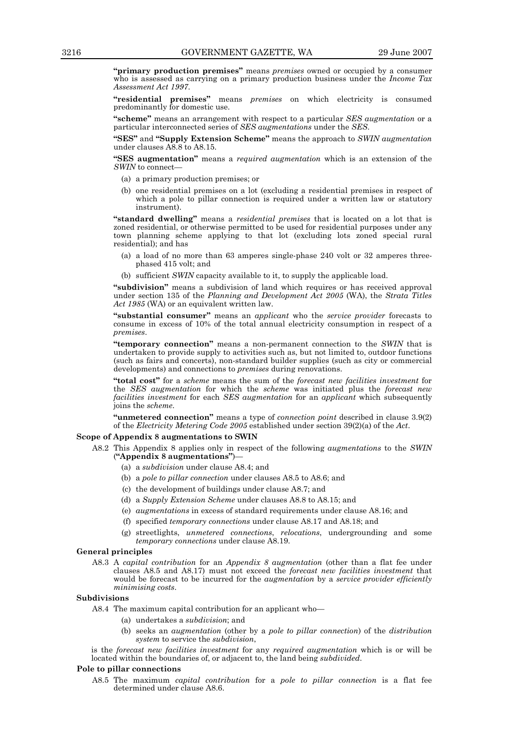**"primary production premises"** means *premises* owned or occupied by a consumer who is assessed as carrying on a primary production business under the *Income Tax Assessment Act 1997*.

 **"residential premises"** means *premises* on which electricity is consumed predominantly for domestic use.

 **"scheme"** means an arrangement with respect to a particular *SES augmentation* or a particular interconnected series of *SES augmentations* under the *SES*.

 **"SES"** and **"Supply Extension Scheme"** means the approach to *SWIN augmentation*  under clauses A8.8 to A8.15.

 **"SES augmentation"** means a *required augmentation* which is an extension of the *SWIN* to connect—

- (a) a primary production premises; or
- (b) one residential premises on a lot (excluding a residential premises in respect of which a pole to pillar connection is required under a written law or statutory instrument).

 **"standard dwelling"** means a *residential premises* that is located on a lot that is zoned residential, or otherwise permitted to be used for residential purposes under any town planning scheme applying to that lot (excluding lots zoned special rural residential); and has

- (a) a load of no more than 63 amperes single-phase 240 volt or 32 amperes threephased 415 volt; and
- (b) sufficient *SWIN* capacity available to it, to supply the applicable load.

 **"subdivision"** means a subdivision of land which requires or has received approval under section 135 of the *Planning and Development Act 2005* (WA), the *Strata Titles Act 1985* (WA) or an equivalent written law.

 **"substantial consumer"** means an *applicant* who the *service provider* forecasts to consume in excess of 10% of the total annual electricity consumption in respect of a *premises*.

 **"temporary connection"** means a non-permanent connection to the *SWIN* that is undertaken to provide supply to activities such as, but not limited to, outdoor functions (such as fairs and concerts), non-standard builder supplies (such as city or commercial developments) and connections to *premises* during renovations.

 **"total cost"** for a *scheme* means the sum of the *forecast new facilities investment* for the *SES augmentation* for which the *scheme* was initiated plus the *forecast new facilities investment* for each *SES augmentation* for an *applicant* which subsequently joins the *scheme*.

 **"unmetered connection"** means a type of *connection point* described in clause 3.9(2) of the *Electricity Metering Code 2005* established under section 39(2)(a) of the *Act*.

#### **Scope of Appendix 8 augmentations to SWIN**

- A8.2 This Appendix 8 applies only in respect of the following *augmentations* to the *SWIN*  (**"Appendix 8 augmentations"**)—
	- (a) a *subdivision* under clause A8.4; and
	- (b) a *pole to pillar connection* under clauses A8.5 to A8.6; and
	- (c) the development of buildings under clause A8.7; and
	- (d) a *Supply Extension Scheme* under clauses A8.8 to A8.15; and
	- (e) *augmentations* in excess of standard requirements under clause A8.16; and
	- (f) specified *temporary connections* under clause A8.17 and A8.18; and
	- (g) streetlights, *unmetered connections*, *relocations*, undergrounding and some *temporary connections* under clause A8.19.

#### **General principles**

 A8.3 A *capital contribution* for an *Appendix 8 augmentation* (other than a flat fee under clauses A8.5 and A8.17) must not exceed the *forecast new facilities investment* that would be forecast to be incurred for the *augmentation* by a *service provider efficiently minimising costs*.

#### **Subdivisions**

- A8.4 The maximum capital contribution for an applicant who—
	- (a) undertakes a *subdivision*; and
	- (b) seeks an *augmentation* (other by a *pole to pillar connection*) of the *distribution system* to service the *subdivision*,

is the *forecast new facilities investment* for any *required augmentation* which is or will be located within the boundaries of, or adjacent to, the land being *subdivided*.

#### **Pole to pillar connections**

 A8.5 The maximum *capital contribution* for a *pole to pillar connection* is a flat fee determined under clause A8.6.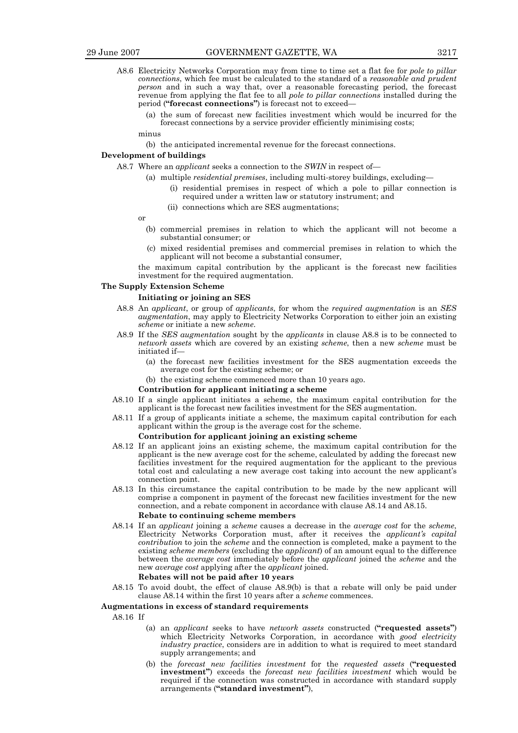- A8.6 Electricity Networks Corporation may from time to time set a flat fee for *pole to pillar connections*, which fee must be calculated to the standard of a *reasonable and prudent person* and in such a way that, over a reasonable forecasting period, the forecast revenue from applying the flat fee to all *pole to pillar connections* installed during the period (**"forecast connections"**) is forecast not to exceed—
	- (a) the sum of forecast new facilities investment which would be incurred for the forecast connections by a service provider efficiently minimising costs;

minus

(b) the anticipated incremental revenue for the forecast connections.

#### **Development of buildings**

- A8.7 Where an *applicant* seeks a connection to the *SWIN* in respect of—
	- (a) multiple *residential premises*, including multi-storey buildings, excluding—
		- (i) residential premises in respect of which a pole to pillar connection is required under a written law or statutory instrument; and
		- (ii) connections which are SES augmentations;

or

- (b) commercial premises in relation to which the applicant will not become a substantial consumer; or
- (c) mixed residential premises and commercial premises in relation to which the applicant will not become a substantial consumer,

 the maximum capital contribution by the applicant is the forecast new facilities investment for the required augmentation.

#### **The Supply Extension Scheme**

#### **Initiating or joining an SES**

- A8.8 An *applicant*, or group of *applicants*, for whom the *required augmentation* is an *SES augmentation*, may apply to Electricity Networks Corporation to either join an existing *scheme* or initiate a new *scheme*.
- A8.9 If the *SES augmentation* sought by the *applicants* in clause A8.8 is to be connected to *network assets* which are covered by an existing *scheme*, then a new *scheme* must be initiated if—
	- (a) the forecast new facilities investment for the SES augmentation exceeds the average cost for the existing scheme; or
	- (b) the existing scheme commenced more than 10 years ago.

### **Contribution for applicant initiating a scheme**

- A8.10 If a single applicant initiates a scheme, the maximum capital contribution for the applicant is the forecast new facilities investment for the SES augmentation.
- A8.11 If a group of applicants initiate a scheme, the maximum capital contribution for each applicant within the group is the average cost for the scheme.

#### **Contribution for applicant joining an existing scheme**

- A8.12 If an applicant joins an existing scheme, the maximum capital contribution for the applicant is the new average cost for the scheme, calculated by adding the forecast new facilities investment for the required augmentation for the applicant to the previous total cost and calculating a new average cost taking into account the new applicant's connection point.
- A8.13 In this circumstance the capital contribution to be made by the new applicant will comprise a component in payment of the forecast new facilities investment for the new connection, and a rebate component in accordance with clause A8.14 and A8.15. **Rebate to continuing scheme members**
- A8.14 If an *applicant* joining a *scheme* causes a decrease in the *average cost* for the *scheme*, Electricity Networks Corporation must, after it receives the *applicant's capital contribution* to join the *scheme* and the connection is completed, make a payment to the existing *scheme members* (excluding the *applicant*) of an amount equal to the difference between the *average cost* immediately before the *applicant* joined the *scheme* and the new *average cost* applying after the *applicant* joined.

#### **Rebates will not be paid after 10 years**

 A8.15 To avoid doubt, the effect of clause A8.9(b) is that a rebate will only be paid under clause A8.14 within the first 10 years after a *scheme* commences.

#### **Augmentations in excess of standard requirements**

- A8.16 If
	- (a) an *applicant* seeks to have *network assets* constructed (**"requested assets"**) which Electricity Networks Corporation, in accordance with *good electricity industry practice*, considers are in addition to what is required to meet standard supply arrangements; and
	- (b) the *forecast new facilities investment* for the *requested assets* (**"requested investment"**) exceeds the *forecast new facilities investment* which would be required if the connection was constructed in accordance with standard supply arrangements (**"standard investment"**),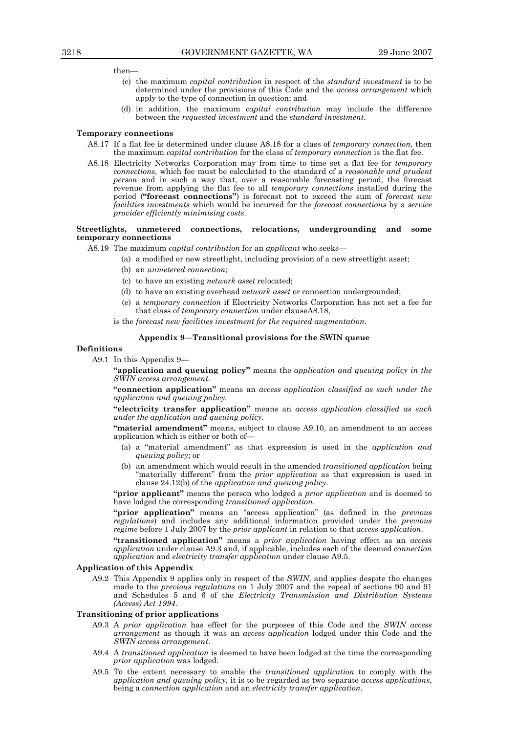then—

- (c) the maximum *capital contribution* in respect of the *standard investment* is to be determined under the provisions of this Code and the *access arrangement* which apply to the type of connection in question; and
- (d) in addition, the maximum *capital contribution* may include the difference between the *requested investment* and the *standard investment*.

#### **Temporary connections**

- A8.17 If a flat fee is determined under clause A8.18 for a class of *temporary connection*, then the maximum *capital contribution* for the class of *temporary connection* is the flat fee.
- A8.18 Electricity Networks Corporation may from time to time set a flat fee for *temporary connections*, which fee must be calculated to the standard of a *reasonable and prudent person* and in such a way that, over a reasonable forecasting period, the forecast revenue from applying the flat fee to all *temporary connections* installed during the period (**"forecast connections"**) is forecast not to exceed the sum of *forecast new facilities investments* which would be incurred for the *forecast connections* by a *service provider efficiently minimising costs*.

#### **Streetlights, unmetered connections, relocations, undergrounding and some temporary connections**

A8.19 The maximum *capital contribution* for an *applicant* who seeks—

- (a) a modified or new streetlight, including provision of a new streetlight asset;
	- (b) an *unmetered connection*;
	- (c) to have an existing *network asset* relocated;
	- (d) to have an existing overhead *network asset* or connection undergrounded;
	- (e) a *temporary connection* if Electricity Networks Corporation has not set a fee for that class of *temporary connection* under clauseA8.18,

is the *forecast new facilities investment for the required augmentation*.

#### **Appendix 9—Transitional provisions for the SWIN queue**

#### **Definitions**

A9.1 In this Appendix 9—

 **"application and queuing policy"** means the *application and queuing policy in the SWIN access arrangement.* 

 **"connection application"** means an *access application classified as such under the application and queuing policy.* 

 **"electricity transfer application"** means an *access application classified as such under the application and queuing policy.* 

 **"material amendment"** means, subject to clause A9.10, an amendment to an access application which is either or both of—

- (a) a "material amendment" as that expression is used in the *application and queuing policy*; or
- (b) an amendment which would result in the amended *transitioned application* being "materially different" from the *prior application* as that expression is used in clause 24.12(b) of the *application and queuing policy*.

 **"prior applicant"** means the person who lodged a *prior application* and is deemed to have lodged the corresponding *transitioned application*.

 **"prior application"** means an "access application" (as defined in the *previous regulations*) and includes any additional information provided under the *previous regime* before 1 July 2007 by the *prior applicant* in relation to that *access application*.

> **"transitioned application"** means a *prior application* having effect as an *access application* under clause A9.3 and, if applicable, includes each of the deemed *connection application* and *electricity transfer application* under clause A9.5.

#### **Application of this Appendix**

 A9.2 This Appendix 9 applies only in respect of the *SWIN*, and applies despite the changes made to the *previous regulations* on 1 July 2007 and the repeal of sections 90 and 91 and Schedules 5 and 6 of the *Electricity Transmission and Distribution Systems (Access) Act 1994*.

#### **Transitioning of prior applications**

- A9.3 A *prior application* has effect for the purposes of this Code and the *SWIN access arrangement* as though it was an *access application* lodged under this Code and the *SWIN access arrangement*.
- A9.4 A *transitioned application* is deemed to have been lodged at the time the corresponding *prior application* was lodged.
- A9.5 To the extent necessary to enable the *transitioned application* to comply with the *application and queuing policy*, it is to be regarded as two separate *access applications*, being a *connection application* and an *electricity transfer application*.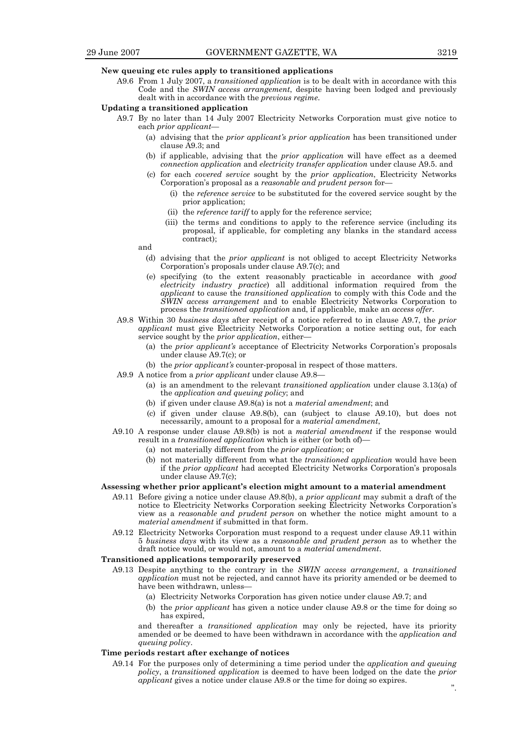#### **New queuing etc rules apply to transitioned applications**

 A9.6 From 1 July 2007, a *transitioned application* is to be dealt with in accordance with this Code and the *SWIN access arrangement*, despite having been lodged and previously dealt with in accordance with the *previous regime*.

#### **Updating a transitioned application**

- A9.7 By no later than 14 July 2007 Electricity Networks Corporation must give notice to each *prior applicant*—
	- (a) advising that the *prior applicant's prior application* has been transitioned under clause A9.3; and
	- (b) if applicable, advising that the *prior application* will have effect as a deemed *connection application* and *electricity transfer application* under clause A9.5. and
	- (c) for each *covered service* sought by the *prior application*, Electricity Networks Corporation's proposal as a *reasonable and prudent person* for—
		- (i) the *reference service* to be substituted for the covered service sought by the prior application;
		- (ii) the *reference tariff* to apply for the reference service;
		- (iii) the terms and conditions to apply to the reference service (including its proposal, if applicable, for completing any blanks in the standard access contract);

and

- (d) advising that the *prior applicant* is not obliged to accept Electricity Networks Corporation's proposals under clause A9.7(c); and
- (e) specifying (to the extent reasonably practicable in accordance with *good electricity industry practice*) all additional information required from the *applicant* to cause the *transitioned application* to comply with this Code and the *SWIN access arrangement* and to enable Electricity Networks Corporation to process the *transitioned application* and, if applicable, make an *access offer*.
	- A9.8 Within 30 *business days* after receipt of a notice referred to in clause A9.7, the *prior applicant* must give Electricity Networks Corporation a notice setting out, for each service sought by the *prior application*, either—
		- (a) the *prior applicant's* acceptance of Electricity Networks Corporation's proposals under clause A9.7(c); or
		- (b) the *prior applicant's* counter-proposal in respect of those matters.
	- A9.9 A notice from a *prior applicant* under clause A9.8—
		- (a) is an amendment to the relevant *transitioned application* under clause 3.13(a) of the *application and queuing policy*; and
		- (b) if given under clause A9.8(a) is not a *material amendment*; and
		- (c) if given under clause A9.8(b), can (subject to clause A9.10), but does not necessarily, amount to a proposal for a *material amendment*,
	- A9.10 A response under clause A9.8(b) is not a *material amendment* if the response would result in a *transitioned application* which is either (or both of)—
		- (a) not materially different from the *prior application*; or
		- (b) not materially different from what the *transitioned application* would have been if the *prior applicant* had accepted Electricity Networks Corporation's proposals under clause A9.7(c);

#### **Assessing whether prior applicant's election might amount to a material amendment**

- A9.11 Before giving a notice under clause A9.8(b), a *prior applicant* may submit a draft of the notice to Electricity Networks Corporation seeking Electricity Networks Corporation's view as a *reasonable and prudent person* on whether the notice might amount to a *material amendment* if submitted in that form.
- A9.12 Electricity Networks Corporation must respond to a request under clause A9.11 within 5 *business days* with its view as a *reasonable and prudent person* as to whether the draft notice would, or would not, amount to a *material amendment*.

#### **Transitioned applications temporarily preserved**

- A9.13 Despite anything to the contrary in the *SWIN access arrangement*, a *transitioned application* must not be rejected, and cannot have its priority amended or be deemed to have been withdrawn, unless-
	- (a) Electricity Networks Corporation has given notice under clause A9.7; and
	- (b) the *prior applicant* has given a notice under clause A9.8 or the time for doing so has expired,

 and thereafter a *transitioned application* may only be rejected, have its priority amended or be deemed to have been withdrawn in accordance with the *application and queuing policy*.

#### **Time periods restart after exchange of notices**

 A9.14 For the purposes only of determining a time period under the *application and queuing policy*, a *transitioned application* is deemed to have been lodged on the date the *prior applicant* gives a notice under clause A9.8 or the time for doing so expires.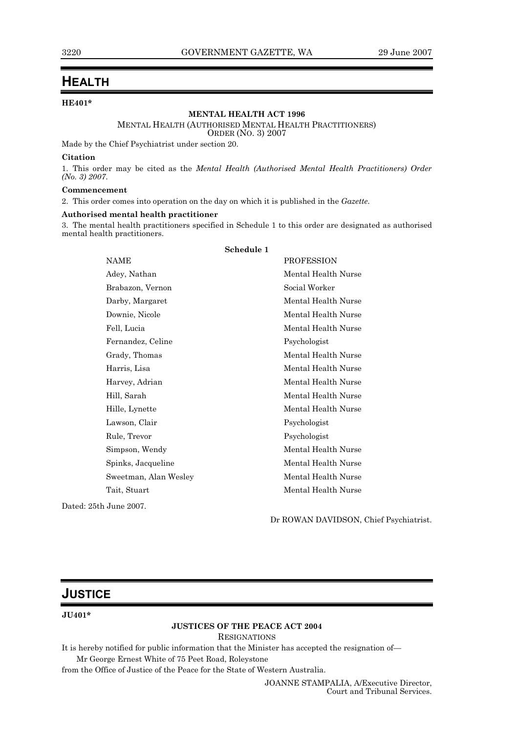## **HEALTH**

### **HE401\***

#### **MENTAL HEALTH ACT 1996**

#### MENTAL HEALTH (AUTHORISED MENTAL HEALTH PRACTITIONERS)

ORDER (NO. 3) 2007

Made by the Chief Psychiatrist under section 20.

#### **Citation**

1. This order may be cited as the *Mental Health (Authorised Mental Health Practitioners) Order (No. 3) 2007*.

#### **Commencement**

2. This order comes into operation on the day on which it is published in the *Gazette*.

#### **Authorised mental health practitioner**

3. The mental health practitioners specified in Schedule 1 to this order are designated as authorised mental health practitioners.

|                        | Schedule 1          |
|------------------------|---------------------|
| <b>NAME</b>            | <b>PROFESSION</b>   |
| Adey, Nathan           | Mental Health Nurse |
| Brabazon, Vernon       | Social Worker       |
| Darby, Margaret        | Mental Health Nurse |
| Downie, Nicole         | Mental Health Nurse |
| Fell, Lucia            | Mental Health Nurse |
| Fernandez, Celine      | Psychologist        |
| Grady, Thomas          | Mental Health Nurse |
| Harris, Lisa           | Mental Health Nurse |
| Harvey, Adrian         | Mental Health Nurse |
| Hill, Sarah            | Mental Health Nurse |
| Hille, Lynette         | Mental Health Nurse |
| Lawson, Clair          | Psychologist        |
| Rule, Trevor           | Psychologist        |
| Simpson, Wendy         | Mental Health Nurse |
| Spinks, Jacqueline     | Mental Health Nurse |
| Sweetman, Alan Wesley  | Mental Health Nurse |
| Tait, Stuart           | Mental Health Nurse |
| Dated: 25th June 2007. |                     |

Dr ROWAN DAVIDSON, Chief Psychiatrist.

## **JUSTICE**

#### **JU401\***

### **JUSTICES OF THE PEACE ACT 2004**

RESIGNATIONS

It is hereby notified for public information that the Minister has accepted the resignation of—

Mr George Ernest White of 75 Peet Road, Roleystone

from the Office of Justice of the Peace for the State of Western Australia.

JOANNE STAMPALIA, A/Executive Director, Court and Tribunal Services.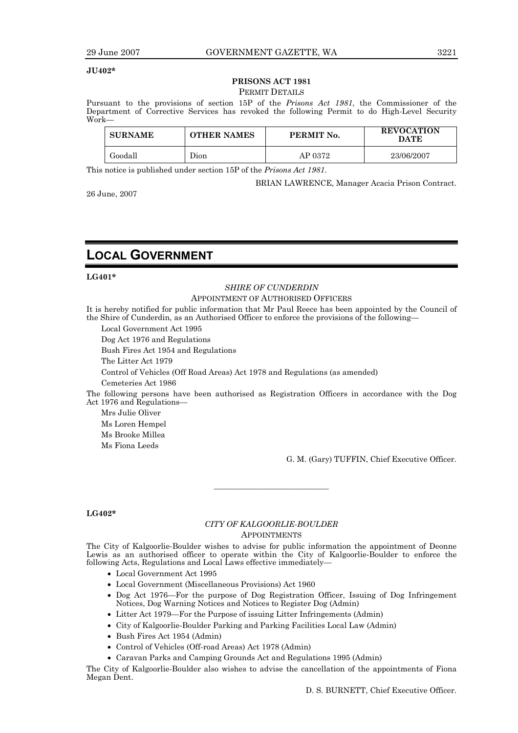#### **JU402\***

## **PRISONS ACT 1981**

## PERMIT DETAILS

Pursuant to the provisions of section 15P of the *Prisons Act 1981*, the Commissioner of the Department of Corrective Services has revoked the following Permit to do High-Level Security Work—

| <b>SURNAME</b> | OTHER NAMES | PERMIT No. | <b>REVOCATION</b><br>DATE |
|----------------|-------------|------------|---------------------------|
| Goodall        | Jıon        | AP 0372    | 23/06/2007                |

This notice is published under section 15P of the *Prisons Act 1981*.

BRIAN LAWRENCE, Manager Acacia Prison Contract.

26 June, 2007

## **LOCAL GOVERNMENT**

#### **LG401\***

#### *SHIRE OF CUNDERDIN*

#### APPOINTMENT OF AUTHORISED OFFICERS

It is hereby notified for public information that Mr Paul Reece has been appointed by the Council of the Shire of Cunderdin, as an Authorised Officer to enforce the provisions of the following—

Local Government Act 1995

Dog Act 1976 and Regulations

Bush Fires Act 1954 and Regulations

The Litter Act 1979

Control of Vehicles (Off Road Areas) Act 1978 and Regulations (as amended)

Cemeteries Act 1986

The following persons have been authorised as Registration Officers in accordance with the Dog Act 1976 and Regulations—

Mrs Julie Oliver Ms Loren Hempel Ms Brooke Millea Ms Fiona Leeds

G. M. (Gary) TUFFIN, Chief Executive Officer.

#### **LG402\***

#### *CITY OF KALGOORLIE-BOULDER*  APPOINTMENTS

———————————

The City of Kalgoorlie-Boulder wishes to advise for public information the appointment of Deonne Lewis as an authorised officer to operate within the City of Kalgoorlie-Boulder to enforce the following Acts, Regulations and Local Laws effective immediately—

- Local Government Act 1995
- Local Government (Miscellaneous Provisions) Act 1960
- Dog Act 1976—For the purpose of Dog Registration Officer, Issuing of Dog Infringement Notices, Dog Warning Notices and Notices to Register Dog (Admin)
- Litter Act 1979—For the Purpose of issuing Litter Infringements (Admin)
- City of Kalgoorlie-Boulder Parking and Parking Facilities Local Law (Admin)
- Bush Fires Act 1954 (Admin)
- Control of Vehicles (Off-road Areas) Act 1978 (Admin)
- Caravan Parks and Camping Grounds Act and Regulations 1995 (Admin)

The City of Kalgoorlie-Boulder also wishes to advise the cancellation of the appointments of Fiona Megan Dent.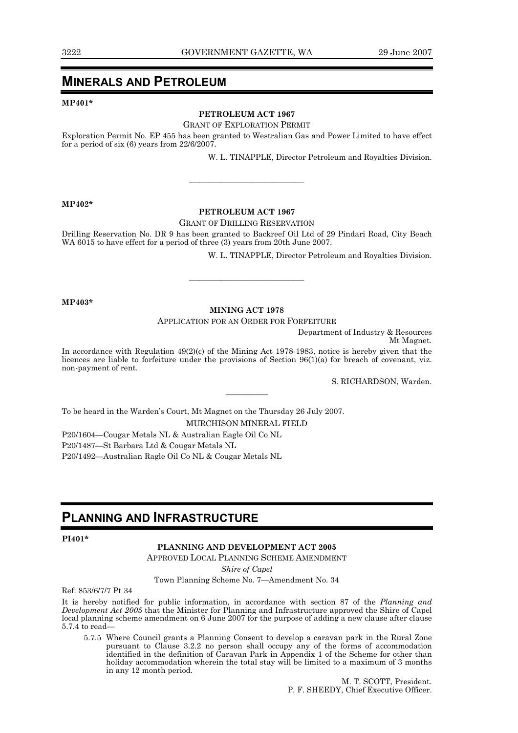## **MINERALS AND PETROLEUM**

**MP401\*** 

#### **PETROLEUM ACT 1967**

#### GRANT OF EXPLORATION PERMIT

Exploration Permit No. EP 455 has been granted to Westralian Gas and Power Limited to have effect for a period of six (6) years from 22/6/2007.

W. L. TINAPPLE, Director Petroleum and Royalties Division.

**MP402\*** 

#### **PETROLEUM ACT 1967**

———————————

#### GRANT OF DRILLING RESERVATION

Drilling Reservation No. DR 9 has been granted to Backreef Oil Ltd of 29 Pindari Road, City Beach WA 6015 to have effect for a period of three (3) years from 20th June 2007.

W. L. TINAPPLE, Director Petroleum and Royalties Division.

**MP403\*** 

#### **MINING ACT 1978**

———————————

APPLICATION FOR AN ORDER FOR FORFEITURE

Department of Industry & Resources

Mt Magnet.

In accordance with Regulation 49(2)(c) of the Mining Act 1978-1983, notice is hereby given that the licences are liable to forfeiture under the provisions of Section 96(1)(a) for breach of covenant, viz. non-payment of rent.

S. RICHARDSON, Warden.

To be heard in the Warden's Court, Mt Magnet on the Thursday 26 July 2007.

MURCHISON MINERAL FIELD

————

P20/1604—Cougar Metals NL & Australian Eagle Oil Co NL

P20/1487—St Barbara Ltd & Cougar Metals NL

P20/1492—Australian Ragle Oil Co NL & Cougar Metals NL

## **PLANNING AND INFRASTRUCTURE**

#### **PI401\***

#### **PLANNING AND DEVELOPMENT ACT 2005**

APPROVED LOCAL PLANNING SCHEME AMENDMENT

*Shire of Capel* 

Town Planning Scheme No. 7—Amendment No. 34

Ref: 853/6/7/7 Pt 34

It is hereby notified for public information, in accordance with section 87 of the *Planning and Development Act 2005* that the Minister for Planning and Infrastructure approved the Shire of Capel local planning scheme amendment on 6 June 2007 for the purpose of adding a new clause after clause 5.7.4 to read—

 5.7.5 Where Council grants a Planning Consent to develop a caravan park in the Rural Zone pursuant to Clause 3.2.2 no person shall occupy any of the forms of accommodation identified in the definition of Caravan Park in Appendix 1 of the Scheme for other than holiday accommodation wherein the total stay will be limited to a maximum of 3 months in any 12 month period.

> M. T. SCOTT, President. P. F. SHEEDY, Chief Executive Officer.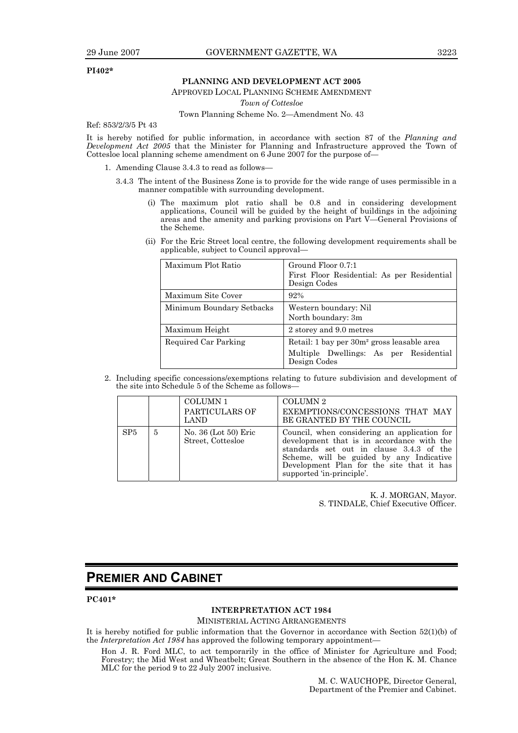#### **PI402\***

#### **PLANNING AND DEVELOPMENT ACT 2005**

APPROVED LOCAL PLANNING SCHEME AMENDMENT

*Town of Cottesloe* 

Town Planning Scheme No. 2—Amendment No. 43

Ref: 853/2/3/5 Pt 43

It is hereby notified for public information, in accordance with section 87 of the *Planning and Development Act 2005* that the Minister for Planning and Infrastructure approved the Town of Cottesloe local planning scheme amendment on 6 June 2007 for the purpose of—

- 1. Amending Clause 3.4.3 to read as follows—
	- 3.4.3 The intent of the Business Zone is to provide for the wide range of uses permissible in a manner compatible with surrounding development.
		- (i) The maximum plot ratio shall be 0.8 and in considering development applications, Council will be guided by the height of buildings in the adjoining areas and the amenity and parking provisions on Part V—General Provisions of the Scheme.
		- (ii) For the Eric Street local centre, the following development requirements shall be applicable, subject to Council approval—

| Maximum Plot Ratio        | Ground Floor 0.7:1<br>First Floor Residential: As per Residential<br>Design Codes                                |
|---------------------------|------------------------------------------------------------------------------------------------------------------|
| Maximum Site Cover        | 92%                                                                                                              |
| Minimum Boundary Setbacks | Western boundary: Nil<br>North boundary: 3m                                                                      |
| Maximum Height            | 2 storey and 9.0 metres                                                                                          |
| Required Car Parking      | Retail: 1 bay per 30m <sup>2</sup> gross leasable area<br>Multiple Dwellings: As per Residential<br>Design Codes |

 2. Including specific concessions/exemptions relating to future subdivision and development of the site into Schedule 5 of the Scheme as follows—

|                 |   | COLUMN 1<br>PARTICULARS OF<br><b>LAND</b> | COLUMN <sub>2</sub><br>EXEMPTIONS/CONCESSIONS THAT MAY<br>BE GRANTED BY THE COUNCIL                                                                                                                                                                          |
|-----------------|---|-------------------------------------------|--------------------------------------------------------------------------------------------------------------------------------------------------------------------------------------------------------------------------------------------------------------|
| SP <sub>5</sub> | 5 | No. 36 (Lot 50) Eric<br>Street, Cottesloe | Council, when considering an application for<br>development that is in accordance with the<br>standards set out in clause 3.4.3 of the<br>Scheme, will be guided by any Indicative<br>Development Plan for the site that it has<br>supported 'in-principle'. |

K. J. MORGAN, Mayor. S. TINDALE, Chief Executive Officer.

## **PREMIER AND CABINET**

**PC401\*** 

#### **INTERPRETATION ACT 1984**

#### MINISTERIAL ACTING ARRANGEMENTS

It is hereby notified for public information that the Governor in accordance with Section 52(1)(b) of the *Interpretation Act 1984* has approved the following temporary appointment—

Hon J. R. Ford MLC, to act temporarily in the office of Minister for Agriculture and Food; Forestry; the Mid West and Wheatbelt; Great Southern in the absence of the Hon K. M. Chance MLC for the period 9 to 22 July 2007 inclusive.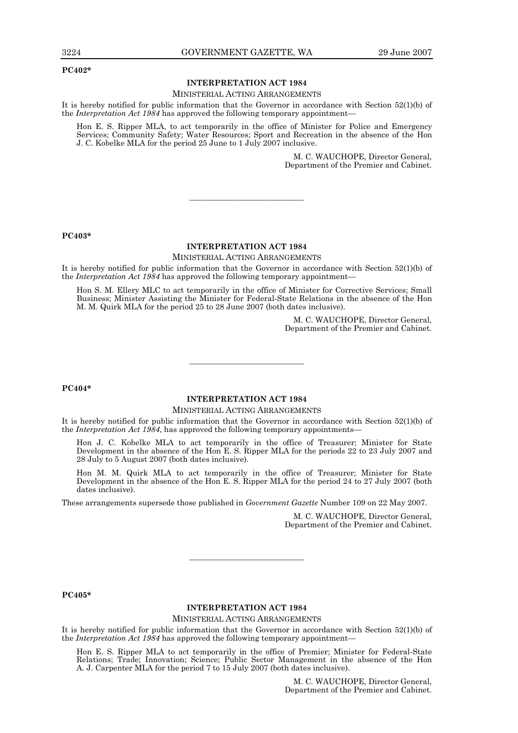#### **PC402\***

#### **INTERPRETATION ACT 1984**

#### MINISTERIAL ACTING ARRANGEMENTS

It is hereby notified for public information that the Governor in accordance with Section 52(1)(b) of the *Interpretation Act 1984* has approved the following temporary appointment—

Hon E. S. Ripper MLA, to act temporarily in the office of Minister for Police and Emergency Services; Community Safety; Water Resources; Sport and Recreation in the absence of the Hon J. C. Kobelke MLA for the period 25 June to 1 July 2007 inclusive.

> M. C. WAUCHOPE, Director General, Department of the Premier and Cabinet.

#### **PC403\***

#### **INTERPRETATION ACT 1984**

———————————

MINISTERIAL ACTING ARRANGEMENTS

It is hereby notified for public information that the Governor in accordance with Section 52(1)(b) of the *Interpretation Act 1984* has approved the following temporary appointment—

Hon S. M. Ellery MLC to act temporarily in the office of Minister for Corrective Services; Small Business; Minister Assisting the Minister for Federal-State Relations in the absence of the Hon M. M. Quirk MLA for the period 25 to 28 June 2007 (both dates inclusive).

> M. C. WAUCHOPE, Director General, Department of the Premier and Cabinet.

#### **PC404\***

### **INTERPRETATION ACT 1984**

———————————

#### MINISTERIAL ACTING ARRANGEMENTS

It is hereby notified for public information that the Governor in accordance with Section 52(1)(b) of the *Interpretation Act 1984*, has approved the following temporary appointments—

Hon J. C. Kobelke MLA to act temporarily in the office of Treasurer; Minister for State Development in the absence of the Hon E. S. Ripper MLA for the periods 22 to 23 July 2007 and 28 July to 5 August 2007 (both dates inclusive).

Hon M. M. Quirk MLA to act temporarily in the office of Treasurer; Minister for State Development in the absence of the Hon E. S. Ripper MLA for the period 24 to 27 July 2007 (both dates inclusive).

These arrangements supersede those published in *Government Gazette* Number 109 on 22 May 2007.

M. C. WAUCHOPE, Director General, Department of the Premier and Cabinet.

#### **PC405\***

#### **INTERPRETATION ACT 1984**

———————————

MINISTERIAL ACTING ARRANGEMENTS

It is hereby notified for public information that the Governor in accordance with Section 52(1)(b) of the *Interpretation Act 1984* has approved the following temporary appointment—

Hon E. S. Ripper MLA to act temporarily in the office of Premier; Minister for Federal-State Relations; Trade; Innovation; Science; Public Sector Management in the absence of the Hon A. J. Carpenter MLA for the period 7 to 15 July 2007 (both dates inclusive).

> M. C. WAUCHOPE, Director General, Department of the Premier and Cabinet.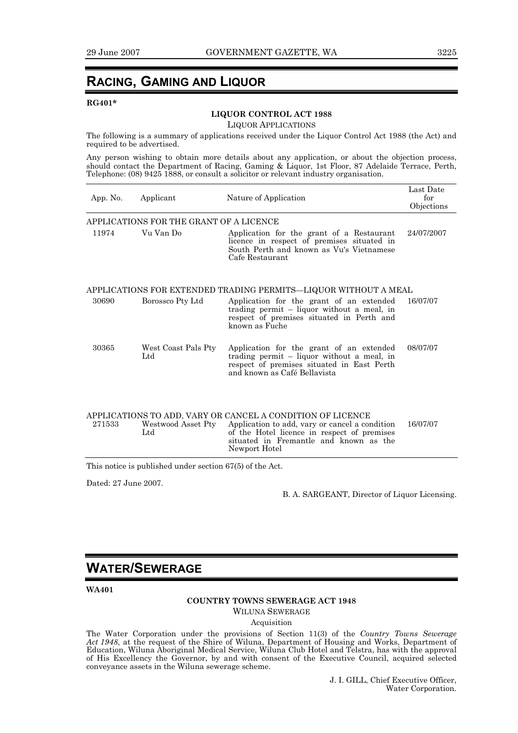## **RACING, GAMING AND LIQUOR**

#### **RG401\***

#### **LIQUOR CONTROL ACT 1988**

LIQUOR APPLICATIONS

The following is a summary of applications received under the Liquor Control Act 1988 (the Act) and required to be advertised.

Any person wishing to obtain more details about any application, or about the objection process, should contact the Department of Racing, Gaming & Liquor, 1st Floor, 87 Adelaide Terrace, Perth, Telephone: (08) 9425 1888, or consult a solicitor or relevant industry organisation.

| App. No. | Applicant                               | Nature of Application                                                                                                                                                                                                  | Last Date<br>for<br>Objections |
|----------|-----------------------------------------|------------------------------------------------------------------------------------------------------------------------------------------------------------------------------------------------------------------------|--------------------------------|
|          | APPLICATIONS FOR THE GRANT OF A LICENCE |                                                                                                                                                                                                                        |                                |
| 11974    | Vu Van Do                               | Application for the grant of a Restaurant<br>licence in respect of premises situated in<br>South Perth and known as Vu's Vietnamese<br>Cafe Restaurant                                                                 | 24/07/2007                     |
|          |                                         | APPLICATIONS FOR EXTENDED TRADING PERMITS—LIQUOR WITHOUT A MEAL                                                                                                                                                        |                                |
| 30690    | Borossco Pty Ltd                        | Application for the grant of an extended<br>trading permit - liquor without a meal, in<br>respect of premises situated in Perth and<br>known as Fuche                                                                  | 16/07/07                       |
| 30365    | West Coast Pals Pty<br>$_{\rm Ltd}$     | Application for the grant of an extended<br>trading permit - liquor without a meal, in<br>respect of premises situated in East Perth<br>and known as Café Bellavista                                                   | 08/07/07                       |
| 271533   | Westwood Asset Pty<br>Ltd               | APPLICATIONS TO ADD, VARY OR CANCEL A CONDITION OF LICENCE<br>Application to add, vary or cancel a condition<br>of the Hotel licence in respect of premises<br>situated in Fremantle and known as the<br>Newport Hotel | 16/07/07                       |

This notice is published under section 67(5) of the Act.

Dated: 27 June 2007.

B. A. SARGEANT, Director of Liquor Licensing.

## **WATER/SEWERAGE**

**WA401** 

#### **COUNTRY TOWNS SEWERAGE ACT 1948**

WILUNA SEWERAGE

Acquisition

The Water Corporation under the provisions of Section 11(3) of the *Country Towns Sewerage*  Act 1948, at the request of the Shire of Wiluna, Department of Housing and Works, Department of Education, Wiluna Aboriginal Medical Service, Wiluna Club Hotel and Telstra, has with the approval of His Excellency the Governor, by and with consent of the Executive Council, acquired selected conveyance assets in the Wiluna sewerage scheme.

> J. I. GILL, Chief Executive Officer, Water Corporation.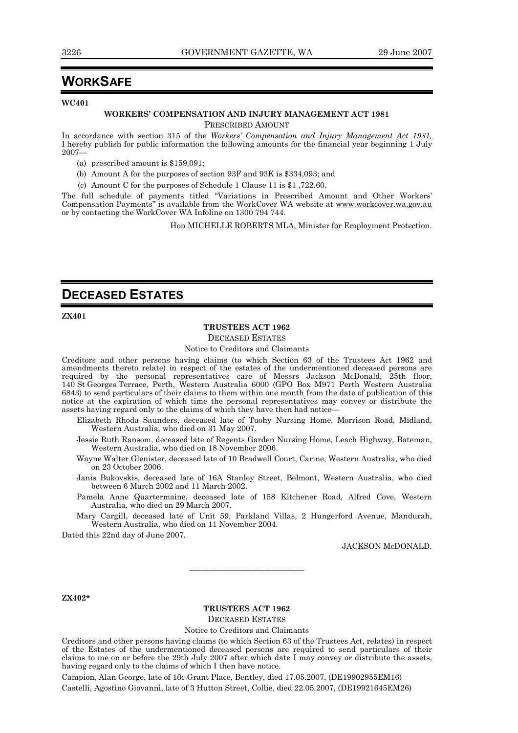## **WORKSAFE**

#### **WC401**

#### **WORKERS' COMPENSATION AND INJURY MANAGEMENT ACT 1981**

PRESCRIBED AMOUNT

In accordance with section 315 of the *Workers' Compensation and Injury Management Act 1981,*  I hereby publish for public information the following amounts for the financial year beginning 1 July 2007—

- (a) prescribed amount is \$159,091;
- (b) Amount A for the purposes of section 93F and 93K is \$334,093; and
- (c) Amount C for the purposes of Schedule 1 Clause 11 is \$1 ,722.60.

The full schedule of payments titled "Variations in Prescribed Amount and Other Workers' Compensation Payments" is available from the WorkCover WA website at www.workcover.wa.gov.au or by contacting the WorkCover WA Infoline on 1300 794 744.

Hon MICHELLE ROBERTS MLA, Minister for Employment Protection.

## **DECEASED ESTATES**

**ZX401** 

#### **TRUSTEES ACT 1962**

DECEASED ESTATES

Notice to Creditors and Claimants

Creditors and other persons having claims (to which Section 63 of the Trustees Act 1962 and amendments thereto relate) in respect of the estates of the undermentioned deceased persons are required by the personal representatives care of Messrs Jackson McDonald, 25th floor, 140 St Georges Terrace, Perth, Western Australia 6000 (GPO Box M971 Perth Western Australia 6843) to send particulars of their claims to them within one month from the date of publication of this notice at the expiration of which time the personal representatives may convey or distribute the assets having regard only to the claims of which they have then had notice—

Elizabeth Rhoda Saunders, deceased late of Tuohy Nursing Home, Morrison Road, Midland, Western Australia, who died on 31 May 2007.

Jessie Ruth Ransom, deceased late of Regents Garden Nursing Home, Leach Highway, Bateman, Western Australia, who died on 18 November 2006.

Wayne Walter Glenister, deceased late of 10 Bradwell Court, Carine, Western Australia, who died on 23 October 2006.

Janis Bukovskis, deceased late of 16A Stanley Street, Belmont, Western Australia, who died between 6 March 2002 and 11 March 2002.

Pamela Anne Quartermaine, deceased late of 158 Kitchener Road, Alfred Cove, Western Australia, who died on 29 March 2007.

Mary Cargill, deceased late of Unit 59, Parkland Villas, 2 Hungerford Avenue, Mandurah, Western Australia, who died on 11 November 2004.

Dated this 22nd day of June 2007.

JACKSON McDONALD.

#### **ZX402\***

#### **TRUSTEES ACT 1962**  DECEASED ESTATES

———————————

Notice to Creditors and Claimants

Creditors and other persons having claims (to which Section 63 of the Trustees Act, relates) in respect of the Estates of the undermentioned deceased persons are required to send particulars of their claims to me on or before the 29th July 2007 after which date I may convey or distribute the assets, having regard only to the claims of which I then have notice.

Campion, Alan George, late of 10c Grant Place, Bentley, died 17.05.2007, (DE19902955EM16) Castelli, Agostino Giovanni, late of 3 Hutton Street, Collie, died 22.05.2007, (DE19921645EM26)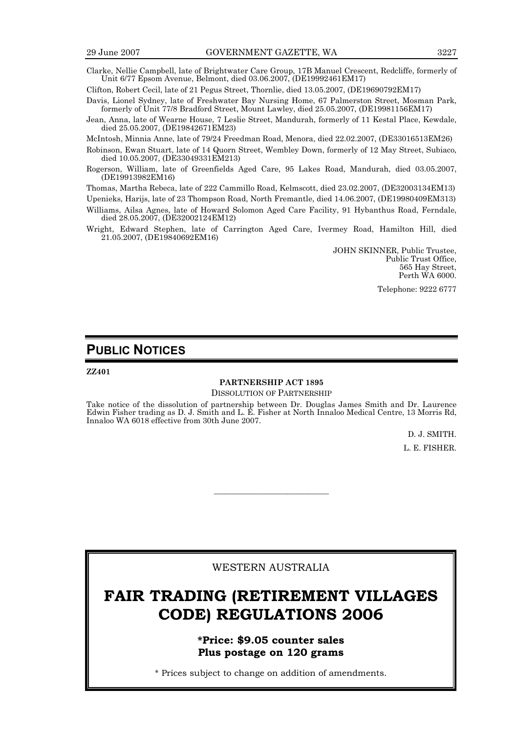Clarke, Nellie Campbell, late of Brightwater Care Group, 17B Manuel Crescent, Redcliffe, formerly of Unit 6/77 Epsom Avenue, Belmont, died 03.06.2007, (DE19992461EM17)

Clifton, Robert Cecil, late of 21 Pegus Street, Thornlie, died 13.05.2007, (DE19690792EM17)

Davis, Lionel Sydney, late of Freshwater Bay Nursing Home, 67 Palmerston Street, Mosman Park, formerly of Unit 77/8 Bradford Street, Mount Lawley, died 25.05.2007, (DE19981156EM17)

Jean, Anna, late of Wearne House, 7 Leslie Street, Mandurah, formerly of 11 Kestal Place, Kewdale, died 25.05.2007, (DE19842671EM23)

McIntosh, Minnia Anne, late of 79/24 Freedman Road, Menora, died 22.02.2007, (DE33016513EM26)

Robinson, Ewan Stuart, late of 14 Quorn Street, Wembley Down, formerly of 12 May Street, Subiaco, died 10.05.2007, (DE33049331EM213)

Rogerson, William, late of Greenfields Aged Care, 95 Lakes Road, Mandurah, died 03.05.2007, (DE19913982EM16)

Thomas, Martha Rebeca, late of 222 Cammillo Road, Kelmscott, died 23.02.2007, (DE32003134EM13)

Upenieks, Harijs, late of 23 Thompson Road, North Fremantle, died 14.06.2007, (DE19980409EM313)

Williams, Ailsa Agnes, late of Howard Solomon Aged Care Facility, 91 Hybanthus Road, Ferndale, died 28.05.2007, (DE32002124EM12)

Wright, Edward Stephen, late of Carrington Aged Care, Ivermey Road, Hamilton Hill, died 21.05.2007, (DE19840692EM16)

> JOHN SKINNER, Public Trustee, Public Trust Office, 565 Hay Street, Perth WA 6000.

> > Telephone: 9222 6777

## **PUBLIC NOTICES**

**ZZ401** 

## **PARTNERSHIP ACT 1895**

DISSOLUTION OF PARTNERSHIP

Take notice of the dissolution of partnership between Dr. Douglas James Smith and Dr. Laurence Edwin Fisher trading as D. J. Smith and L. E. Fisher at North Innaloo Medical Centre, 13 Morris Rd, Innaloo WA 6018 effective from 30th June 2007.

> D. J. SMITH. L. E. FISHER.

### WESTERN AUSTRALIA

———————————

## **FAIR TRADING (RETIREMENT VILLAGES CODE) REGULATIONS 2006**

**\*Price: \$9.05 counter sales Plus postage on 120 grams** 

\* Prices subject to change on addition of amendments.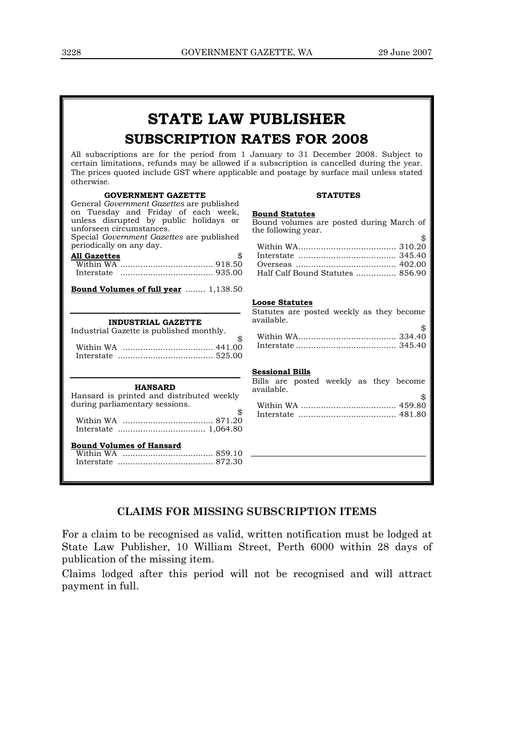## **STATE LAW PUBLISHER SUBSCRIPTION RATES FOR 2008**

All subscriptions are for the period from 1 January to 31 December 2008. Subject to certain limitations, refunds may be allowed if a subscription is cancelled during the year. The prices quoted include GST where applicable and postage by surface mail unless stated otherwise.

#### **GOVERNMENT GAZETTE**

#### **STATUTES**

| GOVERNMENT GAZETTE                                                                                                                                                                                                                                                         | STATUTES                                                                                                                           |
|----------------------------------------------------------------------------------------------------------------------------------------------------------------------------------------------------------------------------------------------------------------------------|------------------------------------------------------------------------------------------------------------------------------------|
| General <i>Government Gazettes</i> are published<br>on Tuesday and Friday of each week,<br>unless disrupted by public holidays or<br>unforseen circumstances.<br>Special <i>Government Gazettes</i> are published<br>periodically on any day.<br><b>All Gazettes</b><br>\$ | <b>Bound Statutes</b><br>Bound volumes are posted during March of<br>the following year.<br>\$<br>Half Calf Bound Statutes  856.90 |
| <b>Bound Volumes of full year</b> 1,138.50                                                                                                                                                                                                                                 |                                                                                                                                    |
| <b>INDUSTRIAL GAZETTE</b><br>Industrial Gazette is published monthly.<br>\$                                                                                                                                                                                                | <b>Loose Statutes</b><br>Statutes are posted weekly as they become<br>available.<br>\$                                             |
| <b>HANSARD</b><br>Hansard is printed and distributed weekly<br>during parliamentary sessions.<br><u>Bound Volumes of Hansard</u>                                                                                                                                           | <b>Sessional Bills</b><br>Bills are posted weekly as they become<br>available.                                                     |

## **CLAIMS FOR MISSING SUBSCRIPTION ITEMS**

For a claim to be recognised as valid, written notification must be lodged at State Law Publisher, 10 William Street, Perth 6000 within 28 days of publication of the missing item.

Claims lodged after this period will not be recognised and will attract payment in full.

| Half Calf Bound Statutes  856.90 |  |
|----------------------------------|--|

| w |
|---|
|   |
|   |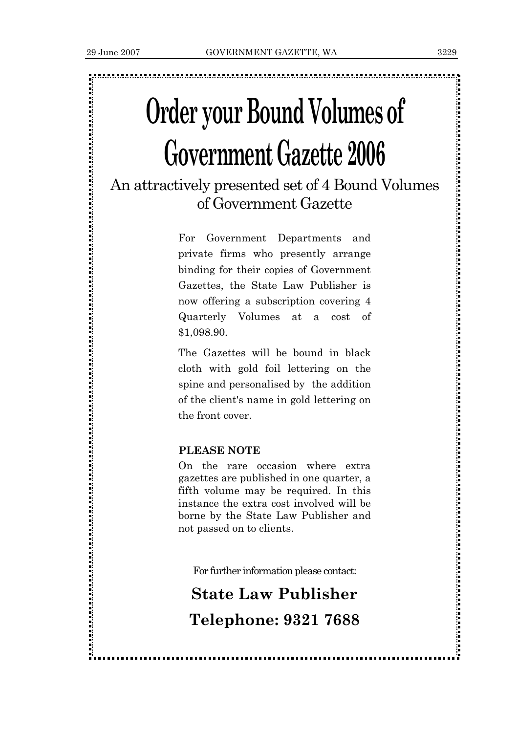,我们的时候,我们的时候,我们的时候,我们的时候,我们的时候,我们的时候,我们的时候,我们的时候,我们的时候,我们的时候,我们的时候,我们的时候,我们的时候,我们 我们的过去分词 医阿拉伯氏征 医阿拉伯氏征 医阿拉伯氏征

# **Order your Bound Volumes of Government Gazette 2006**

An attractively presented set of 4 Bound Volumes of Government Gazette

> For Government Departments and private firms who presently arrange binding for their copies of Government Gazettes, the State Law Publisher is now offering a subscription covering 4 Quarterly Volumes at a cost of \$1,098.90.

> The Gazettes will be bound in black cloth with gold foil lettering on the spine and personalised by the addition of the client's name in gold lettering on the front cover.

## **PLEASE NOTE**

On the rare occasion where extra gazettes are published in one quarter, a fifth volume may be required. In this instance the extra cost involved will be borne by the State Law Publisher and not passed on to clients.

For further information please contact:

## **State Law Publisher Telephone: 9321 7688**